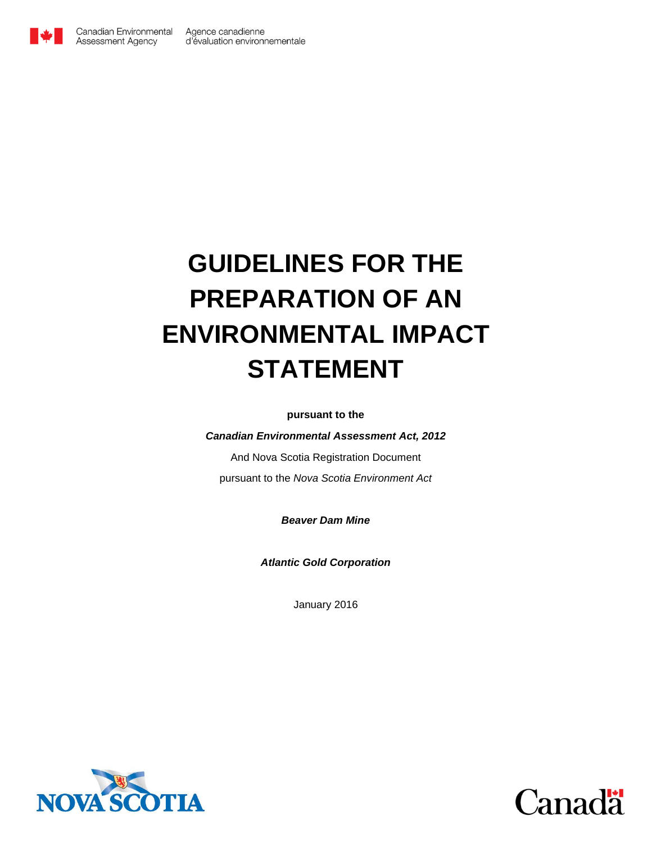

# <span id="page-0-0"></span>**GUIDELINES FOR THE PREPARATION OF AN ENVIRONMENTAL IMPACT STATEMENT**

**pursuant to the**

*Canadian Environmental Assessment Act, 2012*

And Nova Scotia Registration Document pursuant to the *Nova Scotia Environment Act*

*Beaver Dam Mine*

*Atlantic Gold Corporation*

January 2016



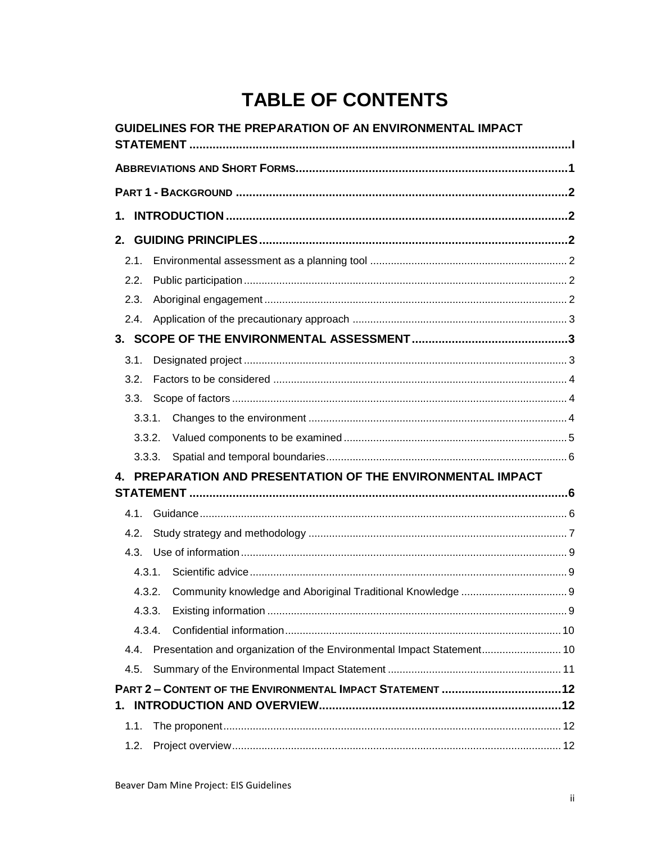# **TABLE OF CONTENTS**

|      |        | GUIDELINES FOR THE PREPARATION OF AN ENVIRONMENTAL IMPACT              |  |
|------|--------|------------------------------------------------------------------------|--|
|      |        |                                                                        |  |
|      |        |                                                                        |  |
|      |        |                                                                        |  |
| 1.   |        |                                                                        |  |
|      |        |                                                                        |  |
| 2.1. |        |                                                                        |  |
| 2.2. |        |                                                                        |  |
| 2.3. |        |                                                                        |  |
| 2.4. |        |                                                                        |  |
|      |        |                                                                        |  |
| 3.1. |        |                                                                        |  |
| 3.2. |        |                                                                        |  |
| 3.3. |        |                                                                        |  |
|      | 3.3.1. |                                                                        |  |
|      | 3.3.2. |                                                                        |  |
|      | 3.3.3. |                                                                        |  |
|      |        | PREPARATION AND PRESENTATION OF THE ENVIRONMENTAL IMPACT               |  |
|      |        |                                                                        |  |
| 4.1. |        |                                                                        |  |
| 4.2. |        |                                                                        |  |
| 4.3. |        |                                                                        |  |
|      | 4.3.1. |                                                                        |  |
|      | 4.3.2. |                                                                        |  |
|      | 4.3.3. |                                                                        |  |
|      | 4.3.4. |                                                                        |  |
| 4.4. |        | Presentation and organization of the Environmental Impact Statement 10 |  |
| 4.5. |        |                                                                        |  |
|      |        |                                                                        |  |
|      |        |                                                                        |  |
| 1.1. |        |                                                                        |  |
| 1.2. |        |                                                                        |  |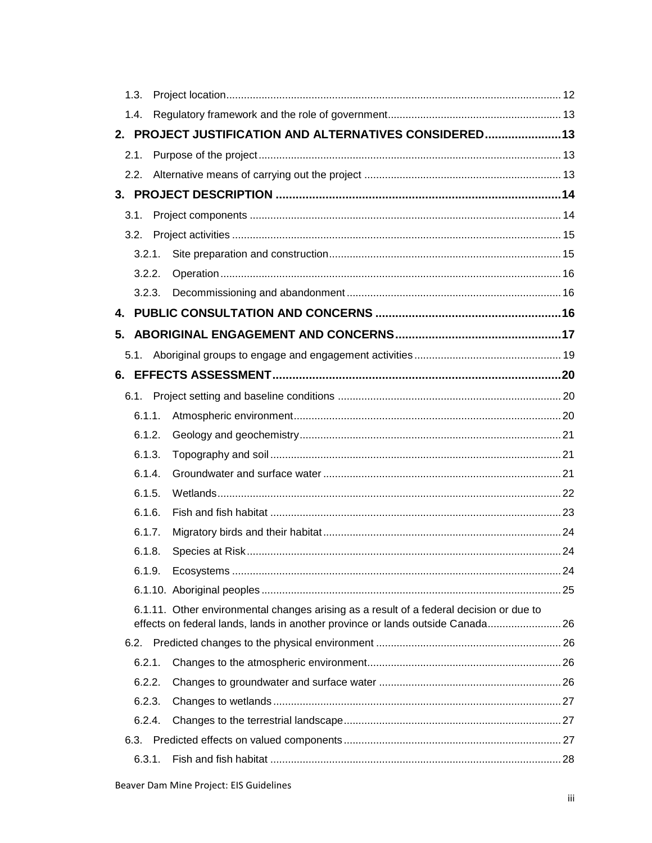| 1.3.                                                                                                                                                                      |  |
|---------------------------------------------------------------------------------------------------------------------------------------------------------------------------|--|
| 1.4.                                                                                                                                                                      |  |
| 2. PROJECT JUSTIFICATION AND ALTERNATIVES CONSIDERED 13                                                                                                                   |  |
| 2.1.                                                                                                                                                                      |  |
| 2.2.                                                                                                                                                                      |  |
|                                                                                                                                                                           |  |
| 3.1.                                                                                                                                                                      |  |
|                                                                                                                                                                           |  |
| 3.2.1.                                                                                                                                                                    |  |
| 3.2.2.                                                                                                                                                                    |  |
| 3.2.3.                                                                                                                                                                    |  |
|                                                                                                                                                                           |  |
| 5.                                                                                                                                                                        |  |
| 5.1.                                                                                                                                                                      |  |
|                                                                                                                                                                           |  |
|                                                                                                                                                                           |  |
| 6.1.1.                                                                                                                                                                    |  |
| 6.1.2.                                                                                                                                                                    |  |
| 6.1.3.                                                                                                                                                                    |  |
| 6.1.4.                                                                                                                                                                    |  |
| 6.1.5.                                                                                                                                                                    |  |
| 6.1.6.                                                                                                                                                                    |  |
| 6.1.7.                                                                                                                                                                    |  |
| 6.1.8.                                                                                                                                                                    |  |
| 6.1.9.                                                                                                                                                                    |  |
|                                                                                                                                                                           |  |
| 6.1.11. Other environmental changes arising as a result of a federal decision or due to<br>effects on federal lands, lands in another province or lands outside Canada 26 |  |
| 6.2.                                                                                                                                                                      |  |
| 6.2.1.                                                                                                                                                                    |  |
| 6.2.2.                                                                                                                                                                    |  |
| 6.2.3.                                                                                                                                                                    |  |
| 6.2.4.                                                                                                                                                                    |  |
| 6.3.                                                                                                                                                                      |  |
| 6.3.1.                                                                                                                                                                    |  |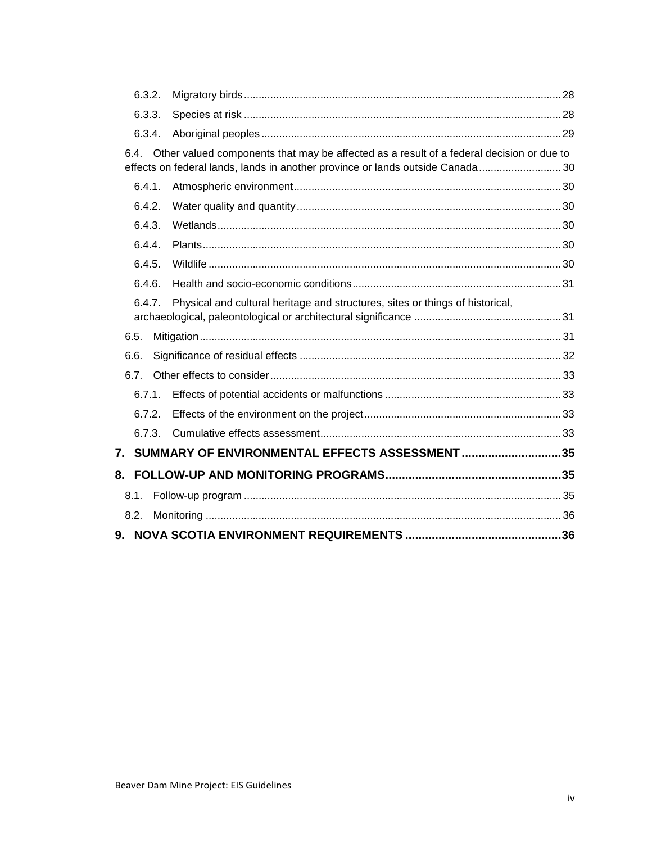| 6.3.2.               |                                                                                          |  |
|----------------------|------------------------------------------------------------------------------------------|--|
| 6.3.3.               |                                                                                          |  |
| 6.3.4.               |                                                                                          |  |
| 6.4.                 | Other valued components that may be affected as a result of a federal decision or due to |  |
|                      | effects on federal lands, lands in another province or lands outside Canada 30           |  |
| 6.4.1.               |                                                                                          |  |
| 6.4.2.               |                                                                                          |  |
| 6.4.3.               |                                                                                          |  |
| 6.4.4.               |                                                                                          |  |
| 6.4.5.               |                                                                                          |  |
| 6.4.6.               |                                                                                          |  |
| 6.4.7.               | Physical and cultural heritage and structures, sites or things of historical,            |  |
|                      |                                                                                          |  |
| 6.5.                 |                                                                                          |  |
| 6.6.                 |                                                                                          |  |
| 6.7.                 |                                                                                          |  |
| 6.7.1.               |                                                                                          |  |
| 6.7.2.               |                                                                                          |  |
| 6.7.3.               |                                                                                          |  |
| $\mathbf{7}_{\cdot}$ | SUMMARY OF ENVIRONMENTAL EFFECTS ASSESSMENT 35                                           |  |
| 8.                   |                                                                                          |  |
| 8.1.                 |                                                                                          |  |
| 8.2.                 |                                                                                          |  |
|                      |                                                                                          |  |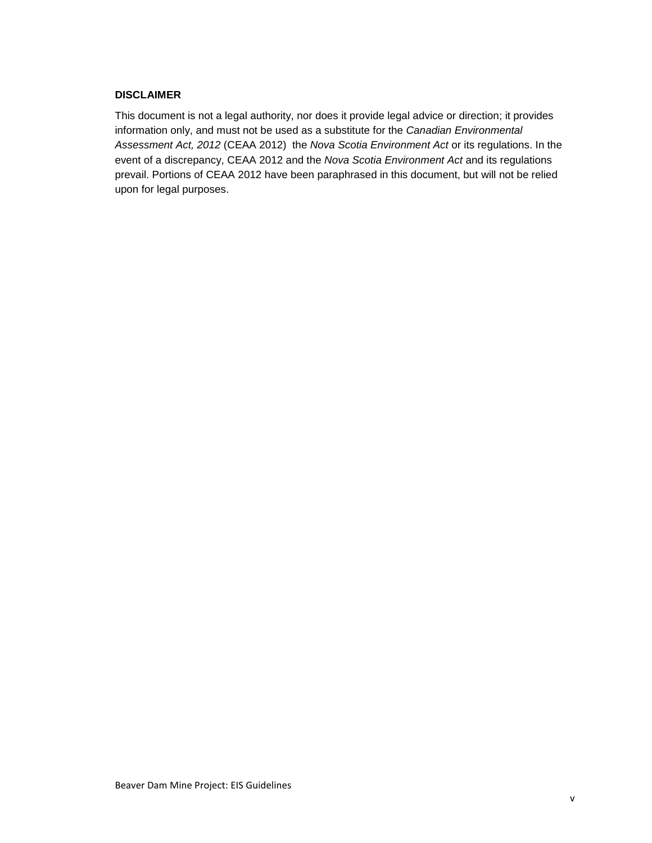#### **DISCLAIMER**

This document is not a legal authority, nor does it provide legal advice or direction; it provides information only, and must not be used as a substitute for the *Canadian Environmental Assessment Act, 2012* (CEAA 2012) the *Nova Scotia Environment Act* or its regulations. In the event of a discrepancy, CEAA 2012 and the *Nova Scotia Environment Act* and its regulations prevail. Portions of CEAA 2012 have been paraphrased in this document, but will not be relied upon for legal purposes.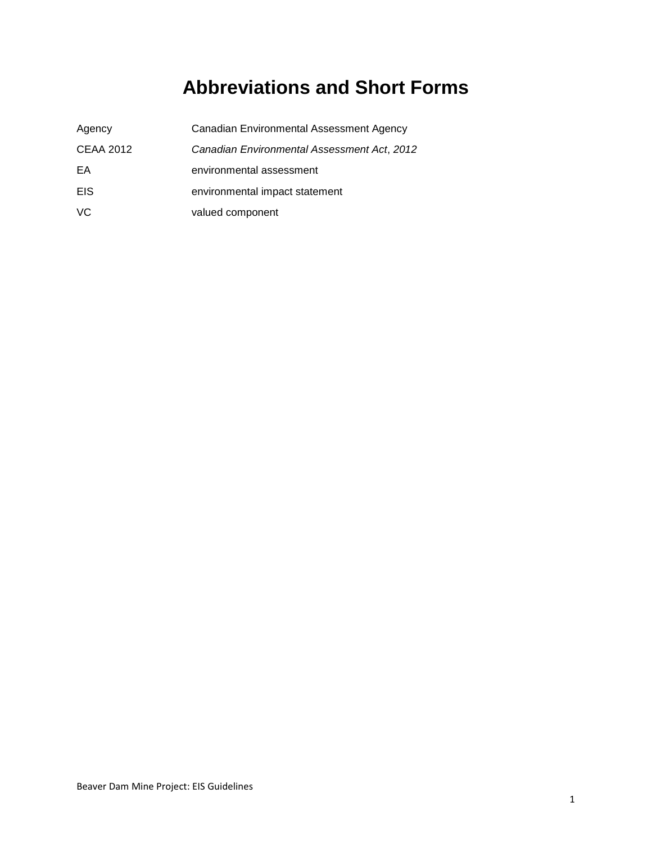# **Abbreviations and Short Forms**

<span id="page-6-0"></span>

| Agency           | Canadian Environmental Assessment Agency    |
|------------------|---------------------------------------------|
| <b>CEAA 2012</b> | Canadian Environmental Assessment Act, 2012 |
| EA               | environmental assessment                    |
| EIS              | environmental impact statement              |
| VC.              | valued component                            |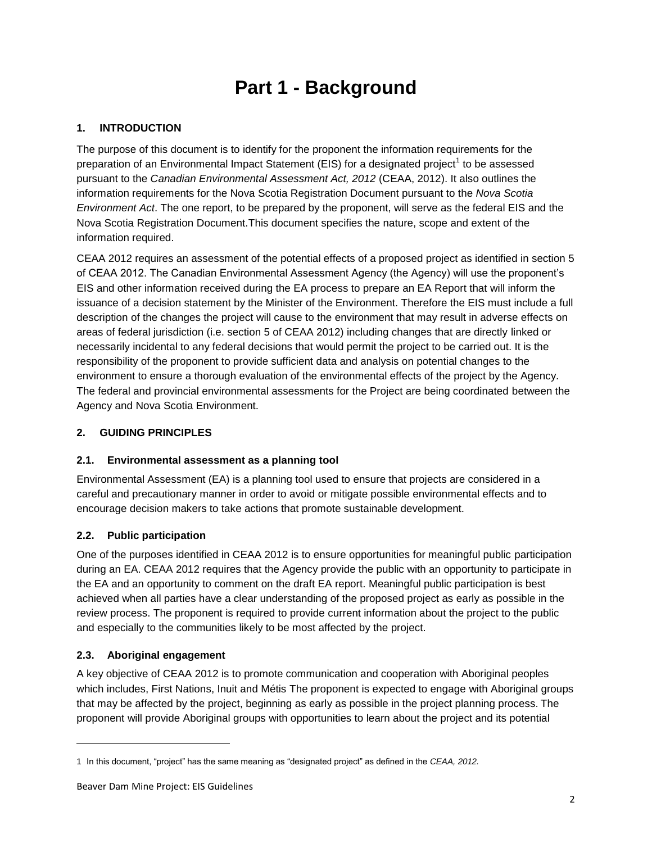# **Part 1 - Background**

# <span id="page-7-1"></span><span id="page-7-0"></span>**1. INTRODUCTION**

The purpose of this document is to identify for the proponent the information requirements for the preparation of an Environmental Impact Statement (EIS) for a designated project<sup>1</sup> to be assessed pursuant to the *Canadian Environmental Assessment Act, 2012* (CEAA, 2012). It also outlines the information requirements for the Nova Scotia Registration Document pursuant to the *Nova Scotia Environment Act*. The one report, to be prepared by the proponent, will serve as the federal EIS and the Nova Scotia Registration Document.This document specifies the nature, scope and extent of the information required.

CEAA 2012 requires an assessment of the potential effects of a proposed project as identified in section 5 of CEAA 2012. The Canadian Environmental Assessment Agency (the Agency) will use the proponent's EIS and other information received during the EA process to prepare an EA Report that will inform the issuance of a decision statement by the Minister of the Environment. Therefore the EIS must include a full description of the changes the project will cause to the environment that may result in adverse effects on areas of federal jurisdiction (i.e. section 5 of CEAA 2012) including changes that are directly linked or necessarily incidental to any federal decisions that would permit the project to be carried out. It is the responsibility of the proponent to provide sufficient data and analysis on potential changes to the environment to ensure a thorough evaluation of the environmental effects of the project by the Agency. The federal and provincial environmental assessments for the Project are being coordinated between the Agency and Nova Scotia Environment.

# <span id="page-7-2"></span>**2. GUIDING PRINCIPLES**

# <span id="page-7-3"></span>**2.1. Environmental assessment as a planning tool**

Environmental Assessment (EA) is a planning tool used to ensure that projects are considered in a careful and precautionary manner in order to avoid or mitigate possible environmental effects and to encourage decision makers to take actions that promote sustainable development.

# <span id="page-7-4"></span>**2.2. Public participation**

One of the purposes identified in CEAA 2012 is to ensure opportunities for meaningful public participation during an EA. CEAA 2012 requires that the Agency provide the public with an opportunity to participate in the EA and an opportunity to comment on the draft EA report. Meaningful public participation is best achieved when all parties have a clear understanding of the proposed project as early as possible in the review process. The proponent is required to provide current information about the project to the public and especially to the communities likely to be most affected by the project.

#### <span id="page-7-5"></span>**2.3. Aboriginal engagement**

-

A key objective of CEAA 2012 is to promote communication and cooperation with Aboriginal peoples which includes, First Nations, Inuit and Métis The proponent is expected to engage with Aboriginal groups that may be affected by the project, beginning as early as possible in the project planning process. The proponent will provide Aboriginal groups with opportunities to learn about the project and its potential

<sup>1</sup> In this document, "project" has the same meaning as "designated project" as defined in the *CEAA, 2012.*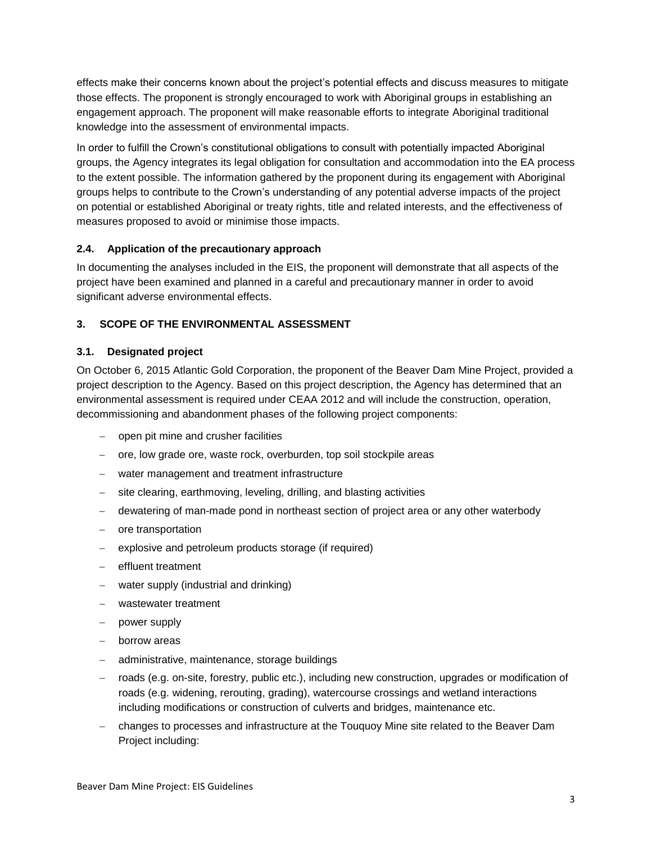effects make their concerns known about the project's potential effects and discuss measures to mitigate those effects. The proponent is strongly encouraged to work with Aboriginal groups in establishing an engagement approach. The proponent will make reasonable efforts to integrate Aboriginal traditional knowledge into the assessment of environmental impacts.

In order to fulfill the Crown's constitutional obligations to consult with potentially impacted Aboriginal groups, the Agency integrates its legal obligation for consultation and accommodation into the EA process to the extent possible. The information gathered by the proponent during its engagement with Aboriginal groups helps to contribute to the Crown's understanding of any potential adverse impacts of the project on potential or established Aboriginal or treaty rights, title and related interests, and the effectiveness of measures proposed to avoid or minimise those impacts.

#### <span id="page-8-0"></span>**2.4. Application of the precautionary approach**

In documenting the analyses included in the EIS, the proponent will demonstrate that all aspects of the project have been examined and planned in a careful and precautionary manner in order to avoid significant adverse environmental effects.

# <span id="page-8-1"></span>**3. SCOPE OF THE ENVIRONMENTAL ASSESSMENT**

#### <span id="page-8-2"></span>**3.1. Designated project**

On October 6, 2015 Atlantic Gold Corporation, the proponent of the Beaver Dam Mine Project, provided a project description to the Agency. Based on this project description, the Agency has determined that an environmental assessment is required under CEAA 2012 and will include the construction, operation, decommissioning and abandonment phases of the following project components:

- open pit mine and crusher facilities
- ore, low grade ore, waste rock, overburden, top soil stockpile areas
- water management and treatment infrastructure
- site clearing, earthmoving, leveling, drilling, and blasting activities
- dewatering of man-made pond in northeast section of project area or any other waterbody
- ore transportation
- explosive and petroleum products storage (if required)
- effluent treatment
- water supply (industrial and drinking)
- wastewater treatment
- power supply
- borrow areas
- administrative, maintenance, storage buildings
- roads (e.g. on-site, forestry, public etc.), including new construction, upgrades or modification of roads (e.g. widening, rerouting, grading), watercourse crossings and wetland interactions including modifications or construction of culverts and bridges, maintenance etc.
- changes to processes and infrastructure at the Touquoy Mine site related to the Beaver Dam Project including: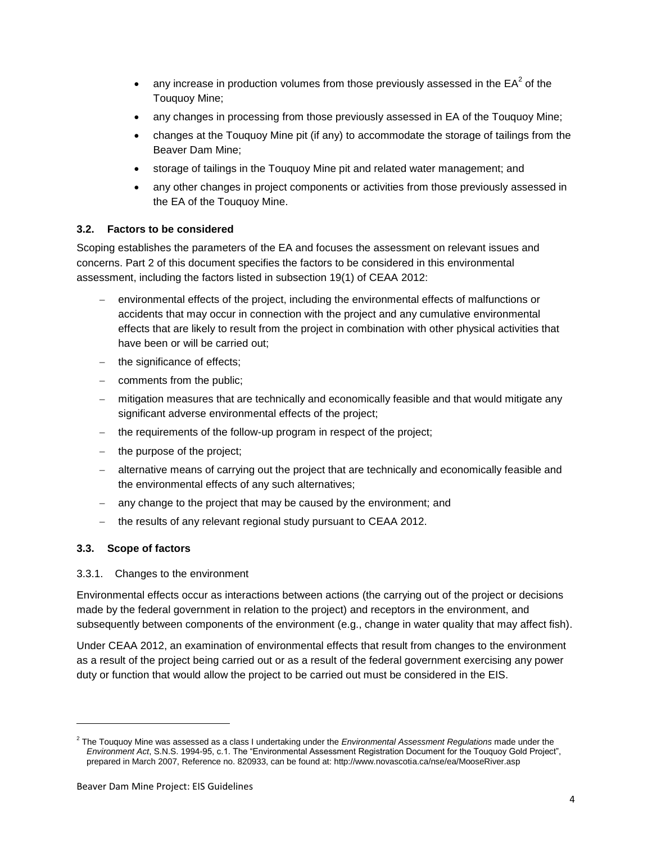- any increase in production volumes from those previously assessed in the  $EA^2$  of the Touquoy Mine;
- any changes in processing from those previously assessed in EA of the Touquoy Mine;
- changes at the Touquoy Mine pit (if any) to accommodate the storage of tailings from the Beaver Dam Mine;
- storage of tailings in the Touquoy Mine pit and related water management; and
- any other changes in project components or activities from those previously assessed in the EA of the Touquoy Mine.

# <span id="page-9-0"></span>**3.2. Factors to be considered**

Scoping establishes the parameters of the EA and focuses the assessment on relevant issues and concerns. Part 2 of this document specifies the factors to be considered in this environmental assessment, including the factors listed in subsection 19(1) of CEAA 2012:

- environmental effects of the project, including the environmental effects of malfunctions or accidents that may occur in connection with the project and any cumulative environmental effects that are likely to result from the project in combination with other physical activities that have been or will be carried out;
- $-$  the significance of effects;
- $\overline{-}$  comments from the public;
- mitigation measures that are technically and economically feasible and that would mitigate any significant adverse environmental effects of the project;
- $-$  the requirements of the follow-up program in respect of the project;
- $-$  the purpose of the project;
- alternative means of carrying out the project that are technically and economically feasible and the environmental effects of any such alternatives;
- any change to the project that may be caused by the environment; and
- the results of any relevant regional study pursuant to CEAA 2012.

# <span id="page-9-1"></span>**3.3. Scope of factors**

-

# <span id="page-9-2"></span>3.3.1. Changes to the environment

Environmental effects occur as interactions between actions (the carrying out of the project or decisions made by the federal government in relation to the project) and receptors in the environment, and subsequently between components of the environment (e.g., change in water quality that may affect fish).

Under CEAA 2012, an examination of environmental effects that result from changes to the environment as a result of the project being carried out or as a result of the federal government exercising any power duty or function that would allow the project to be carried out must be considered in the EIS.

<sup>2</sup> The Touquoy Mine was assessed as a class I undertaking under the *Environmental Assessment Regulations* made under the *Environment Act*, S.N.S. 1994-95, c.1. The "Environmental Assessment Registration Document for the Touquoy Gold Project", prepared in March 2007, Reference no. 820933, can be found at: http://www.novascotia.ca/nse/ea/MooseRiver.asp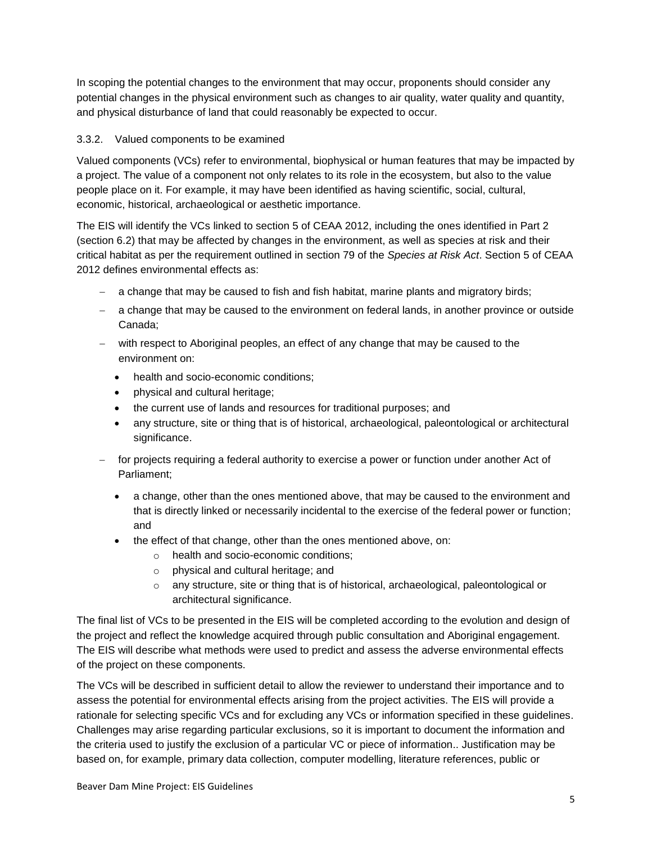In scoping the potential changes to the environment that may occur, proponents should consider any potential changes in the physical environment such as changes to air quality, water quality and quantity, and physical disturbance of land that could reasonably be expected to occur.

#### <span id="page-10-0"></span>3.3.2. Valued components to be examined

Valued components (VCs) refer to environmental, biophysical or human features that may be impacted by a project. The value of a component not only relates to its role in the ecosystem, but also to the value people place on it. For example, it may have been identified as having scientific, social, cultural, economic, historical, archaeological or aesthetic importance.

The EIS will identify the VCs linked to section 5 of CEAA 2012, including the ones identified in Part 2 (section 6.2) that may be affected by changes in the environment, as well as species at risk and their critical habitat as per the requirement outlined in section 79 of the *Species at Risk Act*. Section 5 of CEAA 2012 defines environmental effects as:

- a change that may be caused to fish and fish habitat, marine plants and migratory birds;
- a change that may be caused to the environment on federal lands, in another province or outside Canada;
- with respect to Aboriginal peoples, an effect of any change that may be caused to the environment on:
	- health and socio-economic conditions;
	- physical and cultural heritage;
	- the current use of lands and resources for traditional purposes; and
	- any structure, site or thing that is of historical, archaeological, paleontological or architectural significance.
- for projects requiring a federal authority to exercise a power or function under another Act of Parliament;
	- a change, other than the ones mentioned above, that may be caused to the environment and that is directly linked or necessarily incidental to the exercise of the federal power or function; and
	- the effect of that change, other than the ones mentioned above, on:
		- o health and socio-economic conditions;
		- o physical and cultural heritage; and
		- o any structure, site or thing that is of historical, archaeological, paleontological or architectural significance.

The final list of VCs to be presented in the EIS will be completed according to the evolution and design of the project and reflect the knowledge acquired through public consultation and Aboriginal engagement. The EIS will describe what methods were used to predict and assess the adverse environmental effects of the project on these components.

The VCs will be described in sufficient detail to allow the reviewer to understand their importance and to assess the potential for environmental effects arising from the project activities. The EIS will provide a rationale for selecting specific VCs and for excluding any VCs or information specified in these guidelines. Challenges may arise regarding particular exclusions, so it is important to document the information and the criteria used to justify the exclusion of a particular VC or piece of information.. Justification may be based on, for example, primary data collection, computer modelling, literature references, public or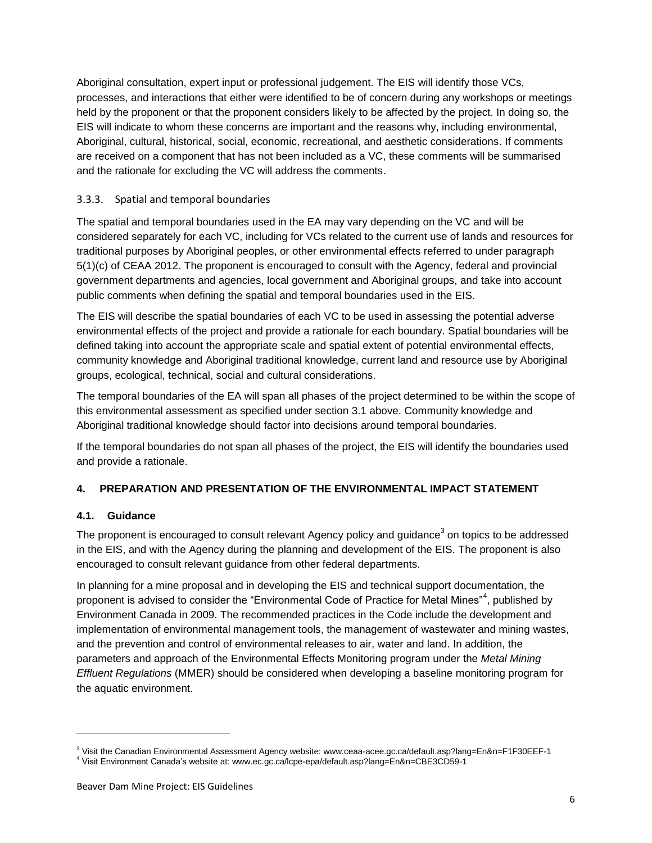Aboriginal consultation, expert input or professional judgement. The EIS will identify those VCs, processes, and interactions that either were identified to be of concern during any workshops or meetings held by the proponent or that the proponent considers likely to be affected by the project. In doing so, the EIS will indicate to whom these concerns are important and the reasons why, including environmental, Aboriginal, cultural, historical, social, economic, recreational, and aesthetic considerations. If comments are received on a component that has not been included as a VC, these comments will be summarised and the rationale for excluding the VC will address the comments.

#### <span id="page-11-0"></span>3.3.3. Spatial and temporal boundaries

The spatial and temporal boundaries used in the EA may vary depending on the VC and will be considered separately for each VC, including for VCs related to the current use of lands and resources for traditional purposes by Aboriginal peoples, or other environmental effects referred to under paragraph 5(1)(c) of CEAA 2012. The proponent is encouraged to consult with the Agency, federal and provincial government departments and agencies, local government and Aboriginal groups, and take into account public comments when defining the spatial and temporal boundaries used in the EIS.

The EIS will describe the spatial boundaries of each VC to be used in assessing the potential adverse environmental effects of the project and provide a rationale for each boundary. Spatial boundaries will be defined taking into account the appropriate scale and spatial extent of potential environmental effects, community knowledge and Aboriginal traditional knowledge, current land and resource use by Aboriginal groups, ecological, technical, social and cultural considerations.

The temporal boundaries of the EA will span all phases of the project determined to be within the scope of this environmental assessment as specified under section 3.1 above. Community knowledge and Aboriginal traditional knowledge should factor into decisions around temporal boundaries.

If the temporal boundaries do not span all phases of the project, the EIS will identify the boundaries used and provide a rationale.

#### <span id="page-11-1"></span>**4. PREPARATION AND PRESENTATION OF THE ENVIRONMENTAL IMPACT STATEMENT**

#### <span id="page-11-2"></span>**4.1. Guidance**

1

The proponent is encouraged to consult relevant Agency policy and guidance<sup>3</sup> on topics to be addressed in the EIS, and with the Agency during the planning and development of the EIS. The proponent is also encouraged to consult relevant guidance from other federal departments.

In planning for a mine proposal and in developing the EIS and technical support documentation, the proponent is advised to consider the "Environmental Code of Practice for Metal Mines"<sup>4</sup>, published by Environment Canada in 2009. The recommended practices in the Code include the development and implementation of environmental management tools, the management of wastewater and mining wastes, and the prevention and control of environmental releases to air, water and land. In addition, the parameters and approach of the Environmental Effects Monitoring program under the *Metal Mining Effluent Regulations* (MMER) should be considered when developing a baseline monitoring program for the aquatic environment.

<sup>3</sup> Visit the Canadian Environmental Assessment Agency website: www.ceaa-acee.gc.ca/default.asp?lang=En&n=F1F30EEF-1

<sup>4</sup> Visit Environment Canada's website at: www.ec.gc.ca/lcpe-epa/default.asp?lang=En&n=CBE3CD59-1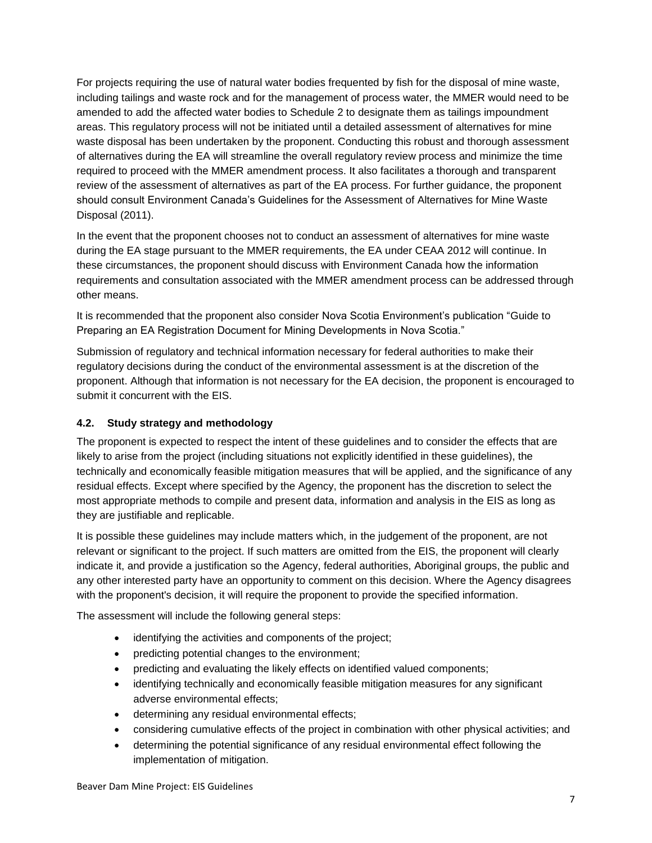For projects requiring the use of natural water bodies frequented by fish for the disposal of mine waste, including tailings and waste rock and for the management of process water, the MMER would need to be amended to add the affected water bodies to Schedule 2 to designate them as tailings impoundment areas. This regulatory process will not be initiated until a detailed assessment of alternatives for mine waste disposal has been undertaken by the proponent. Conducting this robust and thorough assessment of alternatives during the EA will streamline the overall regulatory review process and minimize the time required to proceed with the MMER amendment process. It also facilitates a thorough and transparent review of the assessment of alternatives as part of the EA process. For further guidance, the proponent should consult Environment Canada's Guidelines for the Assessment of Alternatives for Mine Waste Disposal (2011).

In the event that the proponent chooses not to conduct an assessment of alternatives for mine waste during the EA stage pursuant to the MMER requirements, the EA under CEAA 2012 will continue. In these circumstances, the proponent should discuss with Environment Canada how the information requirements and consultation associated with the MMER amendment process can be addressed through other means.

It is recommended that the proponent also consider Nova Scotia Environment's publication "Guide to Preparing an EA Registration Document for Mining Developments in Nova Scotia."

Submission of regulatory and technical information necessary for federal authorities to make their regulatory decisions during the conduct of the environmental assessment is at the discretion of the proponent. Although that information is not necessary for the EA decision, the proponent is encouraged to submit it concurrent with the EIS.

#### <span id="page-12-0"></span>**4.2. Study strategy and methodology**

The proponent is expected to respect the intent of these guidelines and to consider the effects that are likely to arise from the project (including situations not explicitly identified in these guidelines), the technically and economically feasible mitigation measures that will be applied, and the significance of any residual effects. Except where specified by the Agency, the proponent has the discretion to select the most appropriate methods to compile and present data, information and analysis in the EIS as long as they are justifiable and replicable.

It is possible these guidelines may include matters which, in the judgement of the proponent, are not relevant or significant to the project. If such matters are omitted from the EIS, the proponent will clearly indicate it, and provide a justification so the Agency, federal authorities, Aboriginal groups, the public and any other interested party have an opportunity to comment on this decision. Where the Agency disagrees with the proponent's decision, it will require the proponent to provide the specified information.

The assessment will include the following general steps:

- identifying the activities and components of the project;
- predicting potential changes to the environment;
- predicting and evaluating the likely effects on identified valued components;
- identifying technically and economically feasible mitigation measures for any significant adverse environmental effects;
- determining any residual environmental effects;
- considering cumulative effects of the project in combination with other physical activities; and
- determining the potential significance of any residual environmental effect following the implementation of mitigation.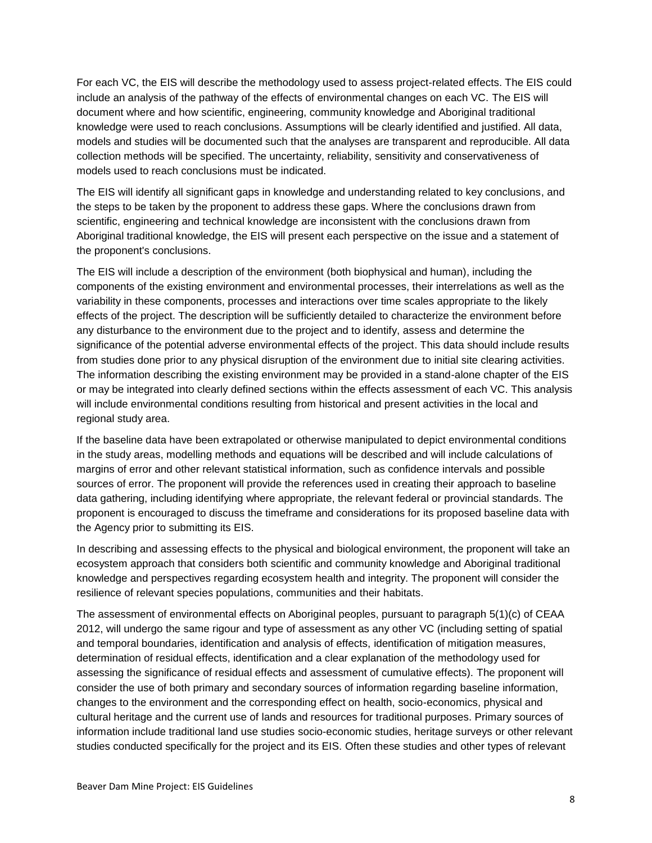For each VC, the EIS will describe the methodology used to assess project-related effects. The EIS could include an analysis of the pathway of the effects of environmental changes on each VC. The EIS will document where and how scientific, engineering, community knowledge and Aboriginal traditional knowledge were used to reach conclusions. Assumptions will be clearly identified and justified. All data, models and studies will be documented such that the analyses are transparent and reproducible. All data collection methods will be specified. The uncertainty, reliability, sensitivity and conservativeness of models used to reach conclusions must be indicated.

The EIS will identify all significant gaps in knowledge and understanding related to key conclusions, and the steps to be taken by the proponent to address these gaps. Where the conclusions drawn from scientific, engineering and technical knowledge are inconsistent with the conclusions drawn from Aboriginal traditional knowledge, the EIS will present each perspective on the issue and a statement of the proponent's conclusions.

The EIS will include a description of the environment (both biophysical and human), including the components of the existing environment and environmental processes, their interrelations as well as the variability in these components, processes and interactions over time scales appropriate to the likely effects of the project. The description will be sufficiently detailed to characterize the environment before any disturbance to the environment due to the project and to identify, assess and determine the significance of the potential adverse environmental effects of the project. This data should include results from studies done prior to any physical disruption of the environment due to initial site clearing activities. The information describing the existing environment may be provided in a stand-alone chapter of the EIS or may be integrated into clearly defined sections within the effects assessment of each VC. This analysis will include environmental conditions resulting from historical and present activities in the local and regional study area.

If the baseline data have been extrapolated or otherwise manipulated to depict environmental conditions in the study areas, modelling methods and equations will be described and will include calculations of margins of error and other relevant statistical information, such as confidence intervals and possible sources of error. The proponent will provide the references used in creating their approach to baseline data gathering, including identifying where appropriate, the relevant federal or provincial standards. The proponent is encouraged to discuss the timeframe and considerations for its proposed baseline data with the Agency prior to submitting its EIS.

In describing and assessing effects to the physical and biological environment, the proponent will take an ecosystem approach that considers both scientific and community knowledge and Aboriginal traditional knowledge and perspectives regarding ecosystem health and integrity. The proponent will consider the resilience of relevant species populations, communities and their habitats.

The assessment of environmental effects on Aboriginal peoples, pursuant to paragraph 5(1)(c) of CEAA 2012, will undergo the same rigour and type of assessment as any other VC (including setting of spatial and temporal boundaries, identification and analysis of effects, identification of mitigation measures, determination of residual effects, identification and a clear explanation of the methodology used for assessing the significance of residual effects and assessment of cumulative effects). The proponent will consider the use of both primary and secondary sources of information regarding baseline information, changes to the environment and the corresponding effect on health, socio-economics, physical and cultural heritage and the current use of lands and resources for traditional purposes. Primary sources of information include traditional land use studies socio-economic studies, heritage surveys or other relevant studies conducted specifically for the project and its EIS. Often these studies and other types of relevant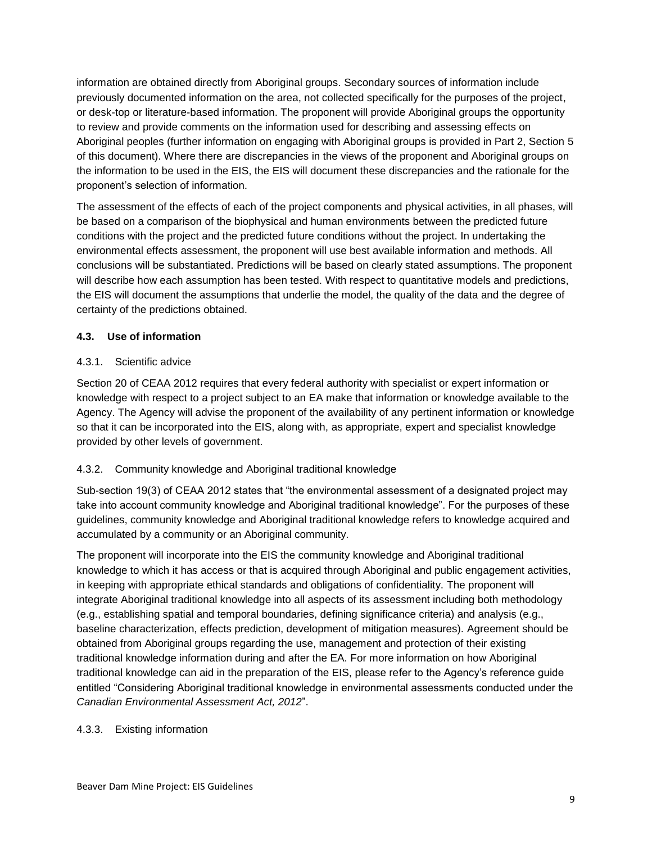information are obtained directly from Aboriginal groups. Secondary sources of information include previously documented information on the area, not collected specifically for the purposes of the project, or desk-top or literature-based information. The proponent will provide Aboriginal groups the opportunity to review and provide comments on the information used for describing and assessing effects on Aboriginal peoples (further information on engaging with Aboriginal groups is provided in Part 2, Section 5 of this document). Where there are discrepancies in the views of the proponent and Aboriginal groups on the information to be used in the EIS, the EIS will document these discrepancies and the rationale for the proponent's selection of information.

The assessment of the effects of each of the project components and physical activities, in all phases, will be based on a comparison of the biophysical and human environments between the predicted future conditions with the project and the predicted future conditions without the project. In undertaking the environmental effects assessment, the proponent will use best available information and methods. All conclusions will be substantiated. Predictions will be based on clearly stated assumptions. The proponent will describe how each assumption has been tested. With respect to quantitative models and predictions, the EIS will document the assumptions that underlie the model, the quality of the data and the degree of certainty of the predictions obtained.

#### <span id="page-14-0"></span>**4.3. Use of information**

#### <span id="page-14-1"></span>4.3.1. Scientific advice

Section 20 of CEAA 2012 requires that every federal authority with specialist or expert information or knowledge with respect to a project subject to an EA make that information or knowledge available to the Agency. The Agency will advise the proponent of the availability of any pertinent information or knowledge so that it can be incorporated into the EIS, along with, as appropriate, expert and specialist knowledge provided by other levels of government.

#### <span id="page-14-2"></span>4.3.2. Community knowledge and Aboriginal traditional knowledge

Sub-section 19(3) of CEAA 2012 states that "the environmental assessment of a designated project may take into account community knowledge and Aboriginal traditional knowledge". For the purposes of these guidelines, community knowledge and Aboriginal traditional knowledge refers to knowledge acquired and accumulated by a community or an Aboriginal community.

The proponent will incorporate into the EIS the community knowledge and Aboriginal traditional knowledge to which it has access or that is acquired through Aboriginal and public engagement activities, in keeping with appropriate ethical standards and obligations of confidentiality. The proponent will integrate Aboriginal traditional knowledge into all aspects of its assessment including both methodology (e.g., establishing spatial and temporal boundaries, defining significance criteria) and analysis (e.g., baseline characterization, effects prediction, development of mitigation measures). Agreement should be obtained from Aboriginal groups regarding the use, management and protection of their existing traditional knowledge information during and after the EA. For more information on how Aboriginal traditional knowledge can aid in the preparation of the EIS, please refer to the Agency's reference guide entitled "Considering Aboriginal traditional knowledge in environmental assessments conducted under the *Canadian Environmental Assessment Act, 2012*".

#### <span id="page-14-3"></span>4.3.3. Existing information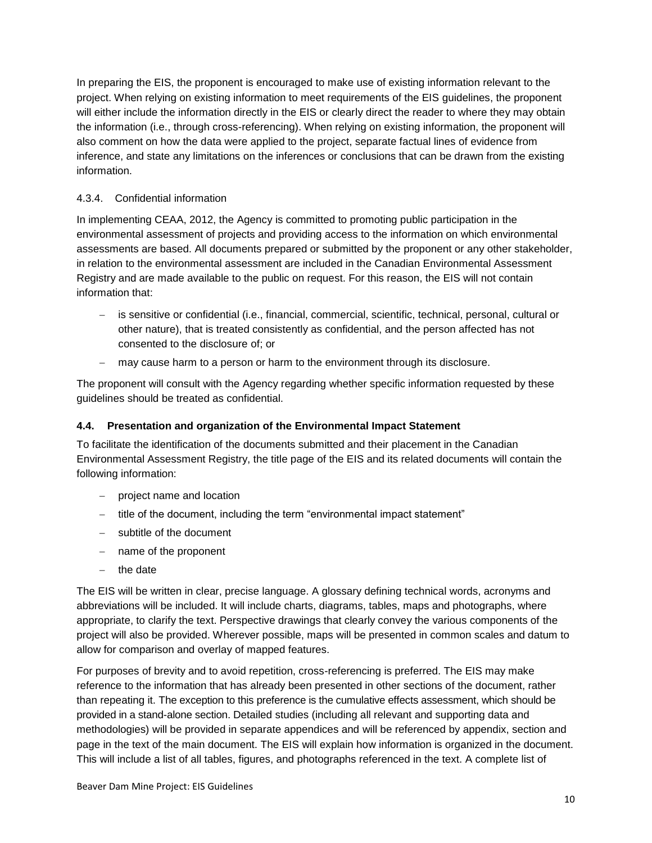In preparing the EIS, the proponent is encouraged to make use of existing information relevant to the project. When relying on existing information to meet requirements of the EIS guidelines, the proponent will either include the information directly in the EIS or clearly direct the reader to where they may obtain the information (i.e., through cross-referencing). When relying on existing information, the proponent will also comment on how the data were applied to the project, separate factual lines of evidence from inference, and state any limitations on the inferences or conclusions that can be drawn from the existing information.

#### <span id="page-15-0"></span>4.3.4. Confidential information

In implementing CEAA, 2012, the Agency is committed to promoting public participation in the environmental assessment of projects and providing access to the information on which environmental assessments are based. All documents prepared or submitted by the proponent or any other stakeholder, in relation to the environmental assessment are included in the Canadian Environmental Assessment Registry and are made available to the public on request. For this reason, the EIS will not contain information that:

- is sensitive or confidential (i.e., financial, commercial, scientific, technical, personal, cultural or other nature), that is treated consistently as confidential, and the person affected has not consented to the disclosure of; or
- may cause harm to a person or harm to the environment through its disclosure.

The proponent will consult with the Agency regarding whether specific information requested by these guidelines should be treated as confidential.

### <span id="page-15-1"></span>**4.4. Presentation and organization of the Environmental Impact Statement**

To facilitate the identification of the documents submitted and their placement in the Canadian Environmental Assessment Registry, the title page of the EIS and its related documents will contain the following information:

- project name and location
- title of the document, including the term "environmental impact statement"
- subtitle of the document
- name of the proponent
- $-$  the date

The EIS will be written in clear, precise language. A glossary defining technical words, acronyms and abbreviations will be included. It will include charts, diagrams, tables, maps and photographs, where appropriate, to clarify the text. Perspective drawings that clearly convey the various components of the project will also be provided. Wherever possible, maps will be presented in common scales and datum to allow for comparison and overlay of mapped features.

For purposes of brevity and to avoid repetition, cross-referencing is preferred. The EIS may make reference to the information that has already been presented in other sections of the document, rather than repeating it. The exception to this preference is the cumulative effects assessment, which should be provided in a stand-alone section. Detailed studies (including all relevant and supporting data and methodologies) will be provided in separate appendices and will be referenced by appendix, section and page in the text of the main document. The EIS will explain how information is organized in the document. This will include a list of all tables, figures, and photographs referenced in the text. A complete list of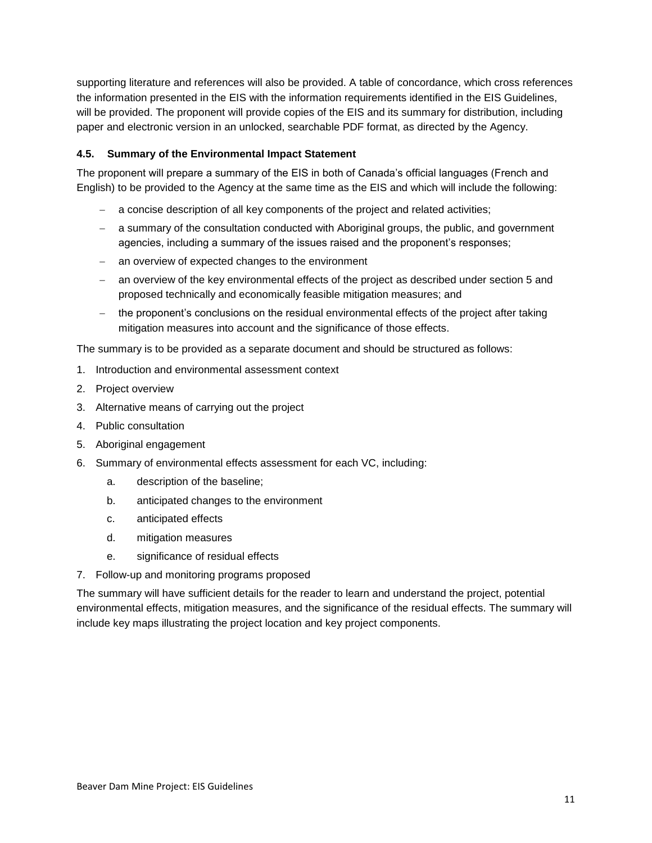supporting literature and references will also be provided. A table of concordance, which cross references the information presented in the EIS with the information requirements identified in the EIS Guidelines, will be provided. The proponent will provide copies of the EIS and its summary for distribution, including paper and electronic version in an unlocked, searchable PDF format, as directed by the Agency.

#### <span id="page-16-0"></span>**4.5. Summary of the Environmental Impact Statement**

The proponent will prepare a summary of the EIS in both of Canada's official languages (French and English) to be provided to the Agency at the same time as the EIS and which will include the following:

- a concise description of all key components of the project and related activities;
- a summary of the consultation conducted with Aboriginal groups, the public, and government agencies, including a summary of the issues raised and the proponent's responses;
- an overview of expected changes to the environment
- an overview of the key environmental effects of the project as described under section 5 and proposed technically and economically feasible mitigation measures; and
- the proponent's conclusions on the residual environmental effects of the project after taking mitigation measures into account and the significance of those effects.

The summary is to be provided as a separate document and should be structured as follows:

- 1. Introduction and environmental assessment context
- 2. Project overview
- 3. Alternative means of carrying out the project
- 4. Public consultation
- 5. Aboriginal engagement
- 6. Summary of environmental effects assessment for each VC, including:
	- a. description of the baseline;
	- b. anticipated changes to the environment
	- c. anticipated effects
	- d. mitigation measures
	- e. significance of residual effects
- 7. Follow-up and monitoring programs proposed

The summary will have sufficient details for the reader to learn and understand the project, potential environmental effects, mitigation measures, and the significance of the residual effects. The summary will include key maps illustrating the project location and key project components.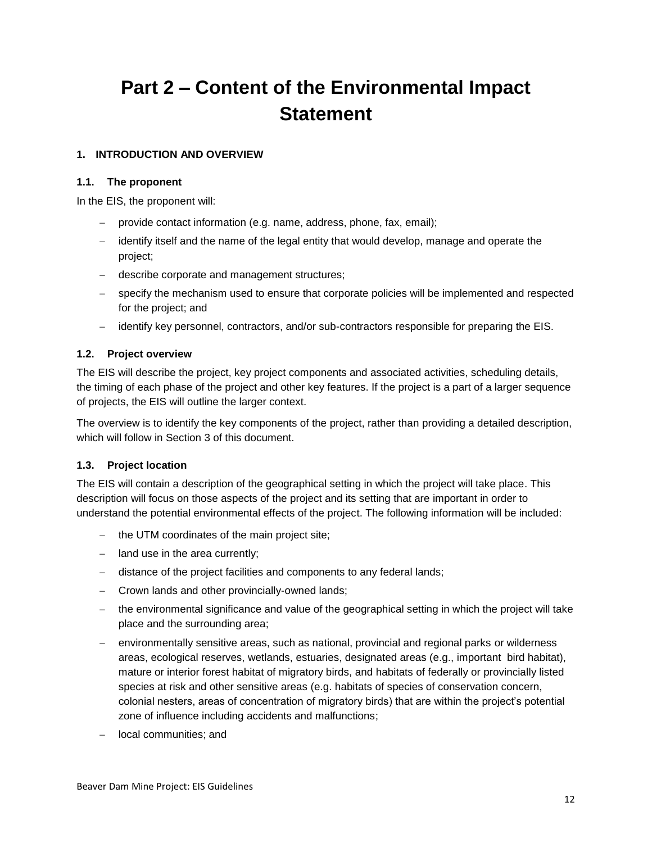# <span id="page-17-0"></span>**Part 2 – Content of the Environmental Impact Statement**

#### <span id="page-17-1"></span>**1. INTRODUCTION AND OVERVIEW**

#### <span id="page-17-2"></span>**1.1. The proponent**

In the EIS, the proponent will:

- provide contact information (e.g. name, address, phone, fax, email);
- $\overline{a}$  identify itself and the name of the legal entity that would develop, manage and operate the project;
- describe corporate and management structures;
- specify the mechanism used to ensure that corporate policies will be implemented and respected for the project; and
- identify key personnel, contractors, and/or sub-contractors responsible for preparing the EIS.

#### <span id="page-17-3"></span>**1.2. Project overview**

The EIS will describe the project, key project components and associated activities, scheduling details, the timing of each phase of the project and other key features. If the project is a part of a larger sequence of projects, the EIS will outline the larger context.

The overview is to identify the key components of the project, rather than providing a detailed description, which will follow in Section 3 of this document.

#### <span id="page-17-4"></span>**1.3. Project location**

The EIS will contain a description of the geographical setting in which the project will take place. This description will focus on those aspects of the project and its setting that are important in order to understand the potential environmental effects of the project. The following information will be included:

- $-$  the UTM coordinates of the main project site;
- $-$  land use in the area currently;
- distance of the project facilities and components to any federal lands;
- Crown lands and other provincially-owned lands;
- the environmental significance and value of the geographical setting in which the project will take place and the surrounding area;
- environmentally sensitive areas, such as national, provincial and regional parks or wilderness areas, ecological reserves, wetlands, estuaries, designated areas (e.g., important bird habitat), mature or interior forest habitat of migratory birds, and habitats of federally or provincially listed species at risk and other sensitive areas (e.g. habitats of species of conservation concern, colonial nesters, areas of concentration of migratory birds) that are within the project's potential zone of influence including accidents and malfunctions;
- local communities; and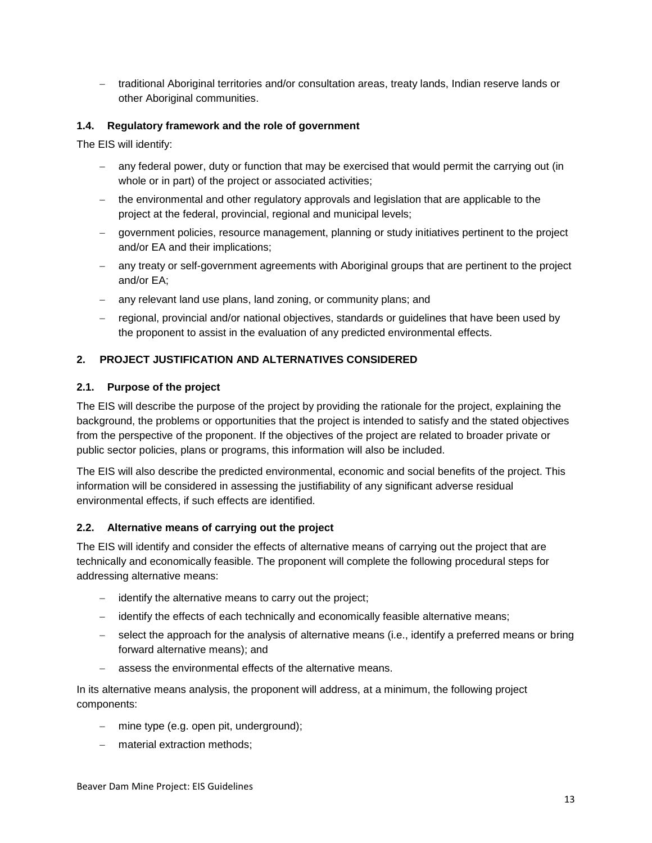- traditional Aboriginal territories and/or consultation areas, treaty lands, Indian reserve lands or other Aboriginal communities.

### <span id="page-18-0"></span>**1.4. Regulatory framework and the role of government**

The EIS will identify:

- any federal power, duty or function that may be exercised that would permit the carrying out (in whole or in part) of the project or associated activities;
- the environmental and other regulatory approvals and legislation that are applicable to the project at the federal, provincial, regional and municipal levels;
- government policies, resource management, planning or study initiatives pertinent to the project and/or EA and their implications;
- any treaty or self-government agreements with Aboriginal groups that are pertinent to the project and/or EA;
- any relevant land use plans, land zoning, or community plans; and
- regional, provincial and/or national objectives, standards or guidelines that have been used by the proponent to assist in the evaluation of any predicted environmental effects.

#### <span id="page-18-1"></span>**2. PROJECT JUSTIFICATION AND ALTERNATIVES CONSIDERED**

#### <span id="page-18-2"></span>**2.1. Purpose of the project**

The EIS will describe the purpose of the project by providing the rationale for the project, explaining the background, the problems or opportunities that the project is intended to satisfy and the stated objectives from the perspective of the proponent. If the objectives of the project are related to broader private or public sector policies, plans or programs, this information will also be included.

The EIS will also describe the predicted environmental, economic and social benefits of the project. This information will be considered in assessing the justifiability of any significant adverse residual environmental effects, if such effects are identified.

#### <span id="page-18-3"></span>**2.2. Alternative means of carrying out the project**

The EIS will identify and consider the effects of alternative means of carrying out the project that are technically and economically feasible. The proponent will complete the following procedural steps for addressing alternative means:

- $\overline{a}$  identify the alternative means to carry out the project;
- identify the effects of each technically and economically feasible alternative means;
- select the approach for the analysis of alternative means (i.e., identify a preferred means or bring forward alternative means); and
- assess the environmental effects of the alternative means.

In its alternative means analysis, the proponent will address, at a minimum, the following project components:

- mine type (e.g. open pit, underground);
- material extraction methods: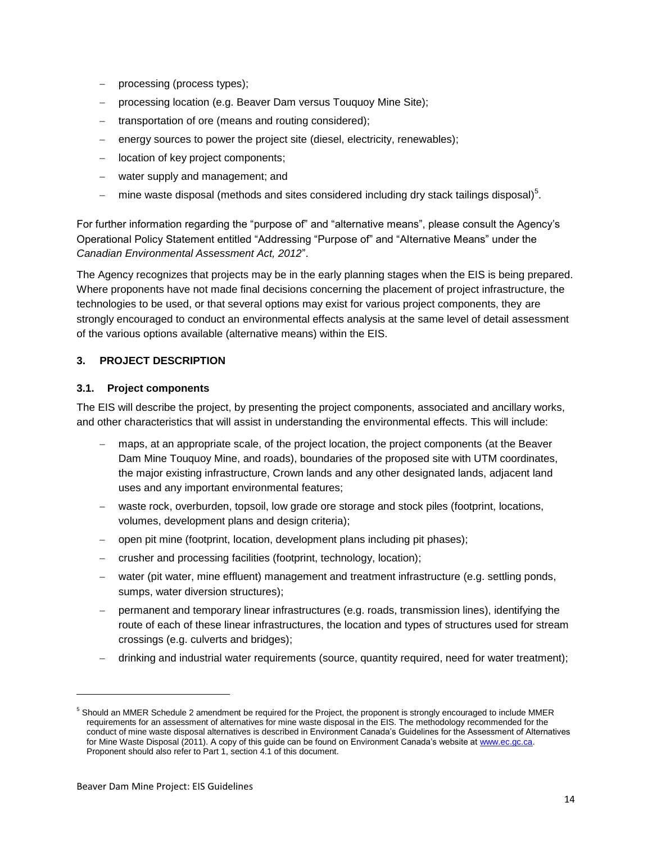- processing (process types);
- processing location (e.g. Beaver Dam versus Touquoy Mine Site);
- transportation of ore (means and routing considered);
- energy sources to power the project site (diesel, electricity, renewables);
- location of key project components;
- water supply and management; and
- $-$  mine waste disposal (methods and sites considered including dry stack tailings disposal)<sup>5</sup>.

For further information regarding the "purpose of" and "alternative means", please consult the Agency's Operational Policy Statement entitled "Addressing "Purpose of" and "Alternative Means" under the *Canadian Environmental Assessment Act, 2012*".

The Agency recognizes that projects may be in the early planning stages when the EIS is being prepared. Where proponents have not made final decisions concerning the placement of project infrastructure, the technologies to be used, or that several options may exist for various project components, they are strongly encouraged to conduct an environmental effects analysis at the same level of detail assessment of the various options available (alternative means) within the EIS.

#### <span id="page-19-0"></span>**3. PROJECT DESCRIPTION**

#### <span id="page-19-1"></span>**3.1. Project components**

The EIS will describe the project, by presenting the project components, associated and ancillary works, and other characteristics that will assist in understanding the environmental effects. This will include:

- maps, at an appropriate scale, of the project location, the project components (at the Beaver Dam Mine Touquoy Mine, and roads), boundaries of the proposed site with UTM coordinates, the major existing infrastructure, Crown lands and any other designated lands, adjacent land uses and any important environmental features;
- waste rock, overburden, topsoil, low grade ore storage and stock piles (footprint, locations, volumes, development plans and design criteria);
- open pit mine (footprint, location, development plans including pit phases);
- crusher and processing facilities (footprint, technology, location);
- water (pit water, mine effluent) management and treatment infrastructure (e.g. settling ponds, sumps, water diversion structures);
- permanent and temporary linear infrastructures (e.g. roads, transmission lines), identifying the route of each of these linear infrastructures, the location and types of structures used for stream crossings (e.g. culverts and bridges);
- drinking and industrial water requirements (source, quantity required, need for water treatment);

1

<sup>5</sup> Should an MMER Schedule 2 amendment be required for the Project, the proponent is strongly encouraged to include MMER requirements for an assessment of alternatives for mine waste disposal in the EIS. The methodology recommended for the conduct of mine waste disposal alternatives is described in Environment Canada's Guidelines for the Assessment of Alternatives for Mine Waste Disposal (2011). A copy of this guide can be found on Environment Canada's website at [www.ec.gc.ca.](http://www.ec.gc.ca/) Proponent should also refer to Part 1, section 4.1 of this document.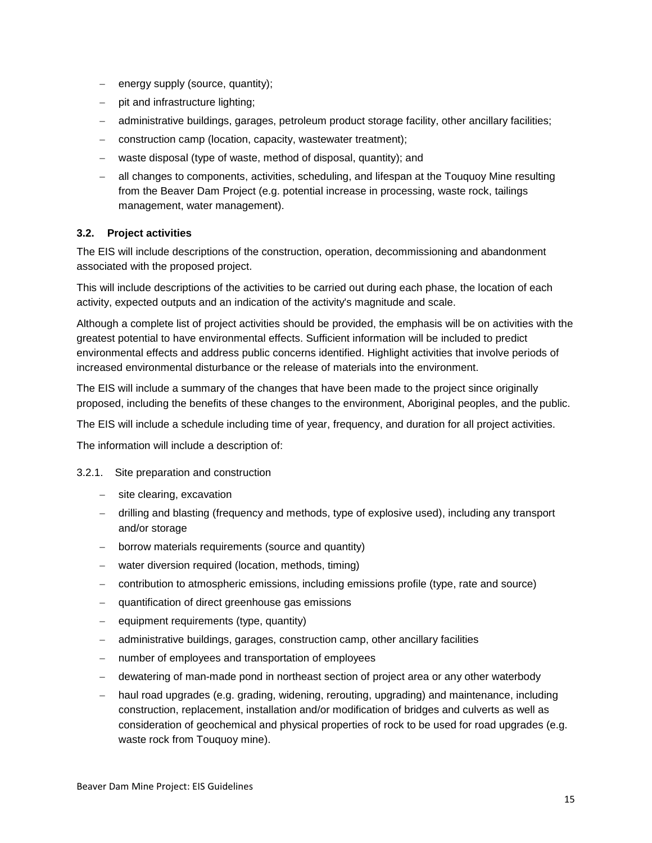- energy supply (source, quantity);
- $-$  pit and infrastructure lighting;
- administrative buildings, garages, petroleum product storage facility, other ancillary facilities;
- construction camp (location, capacity, wastewater treatment);
- waste disposal (type of waste, method of disposal, quantity); and
- all changes to components, activities, scheduling, and lifespan at the Touquoy Mine resulting from the Beaver Dam Project (e.g. potential increase in processing, waste rock, tailings management, water management).

#### <span id="page-20-0"></span>**3.2. Project activities**

The EIS will include descriptions of the construction, operation, decommissioning and abandonment associated with the proposed project.

This will include descriptions of the activities to be carried out during each phase, the location of each activity, expected outputs and an indication of the activity's magnitude and scale.

Although a complete list of project activities should be provided, the emphasis will be on activities with the greatest potential to have environmental effects. Sufficient information will be included to predict environmental effects and address public concerns identified. Highlight activities that involve periods of increased environmental disturbance or the release of materials into the environment.

The EIS will include a summary of the changes that have been made to the project since originally proposed, including the benefits of these changes to the environment, Aboriginal peoples, and the public.

The EIS will include a schedule including time of year, frequency, and duration for all project activities.

The information will include a description of:

#### <span id="page-20-1"></span>3.2.1. Site preparation and construction

- site clearing, excavation
- drilling and blasting (frequency and methods, type of explosive used), including any transport and/or storage
- borrow materials requirements (source and quantity)
- water diversion required (location, methods, timing)
- contribution to atmospheric emissions, including emissions profile (type, rate and source)
- quantification of direct greenhouse gas emissions
- $\equiv$  equipment requirements (type, quantity)
- administrative buildings, garages, construction camp, other ancillary facilities
- number of employees and transportation of employees
- dewatering of man-made pond in northeast section of project area or any other waterbody
- haul road upgrades (e.g. grading, widening, rerouting, upgrading) and maintenance, including construction, replacement, installation and/or modification of bridges and culverts as well as consideration of geochemical and physical properties of rock to be used for road upgrades (e.g. waste rock from Touquoy mine).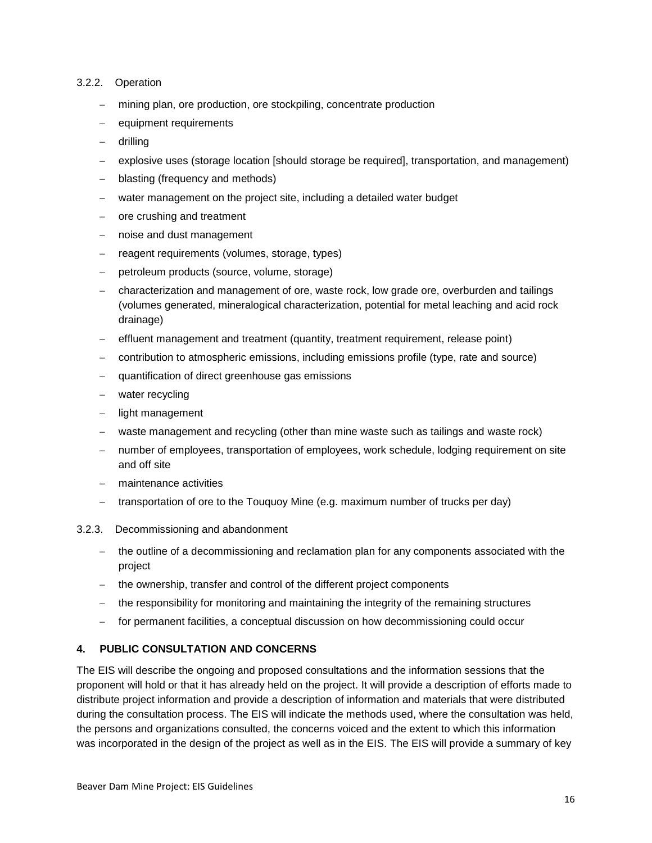#### <span id="page-21-0"></span>3.2.2. Operation

- mining plan, ore production, ore stockpiling, concentrate production
- equipment requirements
- drilling
- explosive uses (storage location [should storage be required], transportation, and management)
- blasting (frequency and methods)
- water management on the project site, including a detailed water budget
- ore crushing and treatment
- noise and dust management
- reagent requirements (volumes, storage, types)
- petroleum products (source, volume, storage)
- characterization and management of ore, waste rock, low grade ore, overburden and tailings (volumes generated, mineralogical characterization, potential for metal leaching and acid rock drainage)
- effluent management and treatment (quantity, treatment requirement, release point)
- contribution to atmospheric emissions, including emissions profile (type, rate and source)
- quantification of direct greenhouse gas emissions
- water recycling
- light management
- waste management and recycling (other than mine waste such as tailings and waste rock)
- number of employees, transportation of employees, work schedule, lodging requirement on site and off site
- maintenance activities
- transportation of ore to the Touquoy Mine (e.g. maximum number of trucks per day)
- <span id="page-21-1"></span>3.2.3. Decommissioning and abandonment
	- $-$  the outline of a decommissioning and reclamation plan for any components associated with the project
	- the ownership, transfer and control of the different project components
	- the responsibility for monitoring and maintaining the integrity of the remaining structures
	- for permanent facilities, a conceptual discussion on how decommissioning could occur

#### <span id="page-21-2"></span>**4. PUBLIC CONSULTATION AND CONCERNS**

The EIS will describe the ongoing and proposed consultations and the information sessions that the proponent will hold or that it has already held on the project. It will provide a description of efforts made to distribute project information and provide a description of information and materials that were distributed during the consultation process. The EIS will indicate the methods used, where the consultation was held, the persons and organizations consulted, the concerns voiced and the extent to which this information was incorporated in the design of the project as well as in the EIS. The EIS will provide a summary of key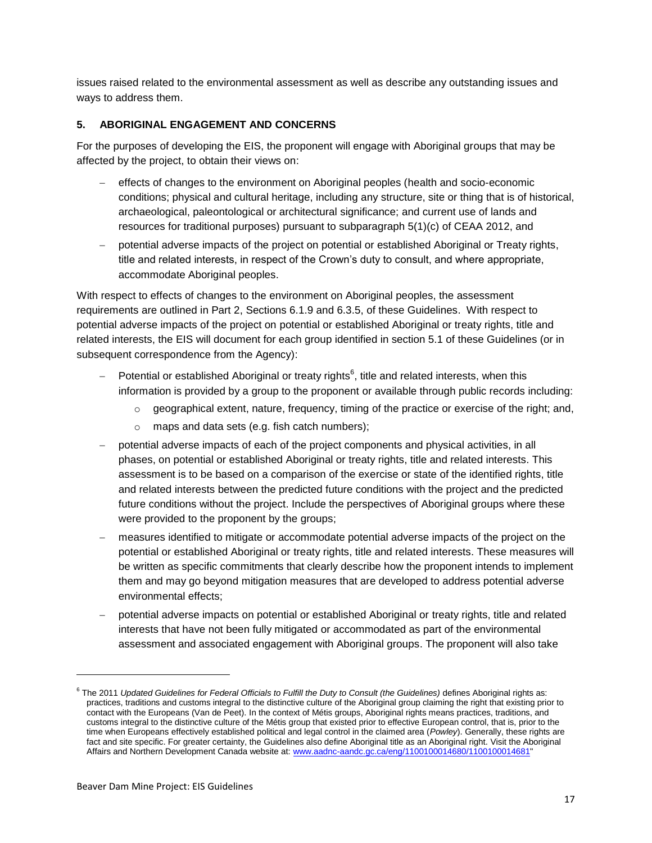issues raised related to the environmental assessment as well as describe any outstanding issues and ways to address them.

### <span id="page-22-0"></span>**5. ABORIGINAL ENGAGEMENT AND CONCERNS**

For the purposes of developing the EIS, the proponent will engage with Aboriginal groups that may be affected by the project, to obtain their views on:

- effects of changes to the environment on Aboriginal peoples (health and socio-economic conditions; physical and cultural heritage, including any structure, site or thing that is of historical, archaeological, paleontological or architectural significance; and current use of lands and resources for traditional purposes) pursuant to subparagraph 5(1)(c) of CEAA 2012, and
- potential adverse impacts of the project on potential or established Aboriginal or Treaty rights, title and related interests, in respect of the Crown's duty to consult, and where appropriate, accommodate Aboriginal peoples.

With respect to effects of changes to the environment on Aboriginal peoples, the assessment requirements are outlined in Part 2, Sections 6.1.9 and 6.3.5, of these Guidelines. With respect to potential adverse impacts of the project on potential or established Aboriginal or treaty rights, title and related interests, the EIS will document for each group identified in section 5.1 of these Guidelines (or in subsequent correspondence from the Agency):

- $-$  Potential or established Aboriginal or treaty rights<sup>6</sup>, title and related interests, when this information is provided by a group to the proponent or available through public records including:
	- $\circ$  geographical extent, nature, frequency, timing of the practice or exercise of the right; and,
	- o maps and data sets (e.g. fish catch numbers);
- potential adverse impacts of each of the project components and physical activities, in all phases, on potential or established Aboriginal or treaty rights, title and related interests. This assessment is to be based on a comparison of the exercise or state of the identified rights, title and related interests between the predicted future conditions with the project and the predicted future conditions without the project. Include the perspectives of Aboriginal groups where these were provided to the proponent by the groups;
- measures identified to mitigate or accommodate potential adverse impacts of the project on the potential or established Aboriginal or treaty rights, title and related interests. These measures will be written as specific commitments that clearly describe how the proponent intends to implement them and may go beyond mitigation measures that are developed to address potential adverse environmental effects;
- potential adverse impacts on potential or established Aboriginal or treaty rights, title and related interests that have not been fully mitigated or accommodated as part of the environmental assessment and associated engagement with Aboriginal groups. The proponent will also take

1

<sup>6</sup> The 2011 *Updated Guidelines for Federal Officials to Fulfill the Duty to Consult (the Guidelines)* defines Aboriginal rights as: practices, traditions and customs integral to the distinctive culture of the Aboriginal group claiming the right that existing prior to contact with the Europeans (Van de Peet). In the context of Métis groups, Aboriginal rights means practices, traditions, and customs integral to the distinctive culture of the Métis group that existed prior to effective European control, that is, prior to the time when Europeans effectively established political and legal control in the claimed area (*Powley*). Generally, these rights are fact and site specific. For greater certainty, the Guidelines also define Aboriginal title as an Aboriginal right. Visit the Aboriginal Affairs and Northern Development Canada website at: [www.aadnc-aandc.gc.ca/eng/1100100014680/1100100014681"](http://www.aadnc-aandc.gc.ca/eng/1100100014680/1100100014681)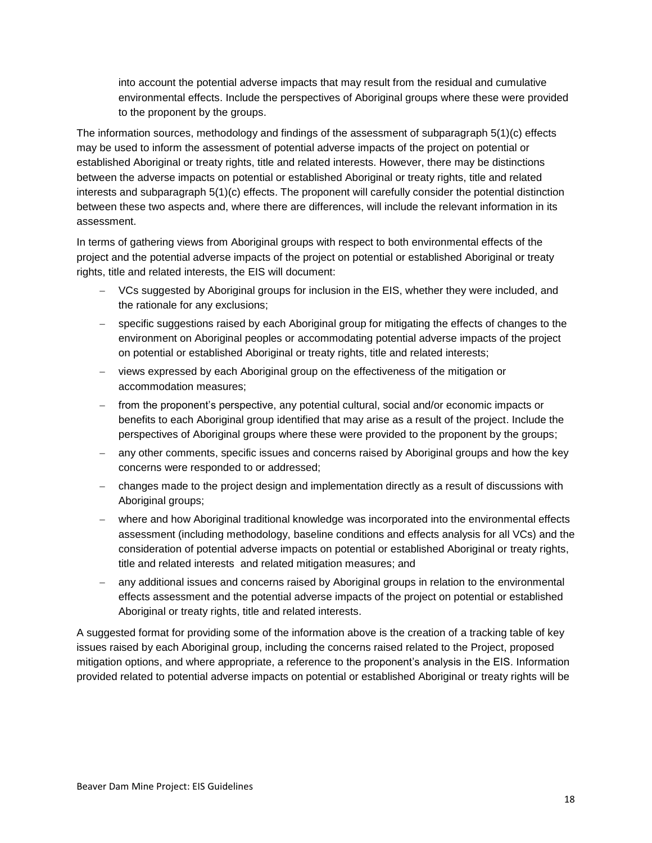into account the potential adverse impacts that may result from the residual and cumulative environmental effects. Include the perspectives of Aboriginal groups where these were provided to the proponent by the groups.

The information sources, methodology and findings of the assessment of subparagraph 5(1)(c) effects may be used to inform the assessment of potential adverse impacts of the project on potential or established Aboriginal or treaty rights, title and related interests. However, there may be distinctions between the adverse impacts on potential or established Aboriginal or treaty rights, title and related interests and subparagraph 5(1)(c) effects. The proponent will carefully consider the potential distinction between these two aspects and, where there are differences, will include the relevant information in its assessment.

In terms of gathering views from Aboriginal groups with respect to both environmental effects of the project and the potential adverse impacts of the project on potential or established Aboriginal or treaty rights, title and related interests, the EIS will document:

- VCs suggested by Aboriginal groups for inclusion in the EIS, whether they were included, and the rationale for any exclusions;
- specific suggestions raised by each Aboriginal group for mitigating the effects of changes to the environment on Aboriginal peoples or accommodating potential adverse impacts of the project on potential or established Aboriginal or treaty rights, title and related interests;
- views expressed by each Aboriginal group on the effectiveness of the mitigation or accommodation measures;
- from the proponent's perspective, any potential cultural, social and/or economic impacts or benefits to each Aboriginal group identified that may arise as a result of the project. Include the perspectives of Aboriginal groups where these were provided to the proponent by the groups;
- any other comments, specific issues and concerns raised by Aboriginal groups and how the key concerns were responded to or addressed;
- changes made to the project design and implementation directly as a result of discussions with Aboriginal groups;
- where and how Aboriginal traditional knowledge was incorporated into the environmental effects assessment (including methodology, baseline conditions and effects analysis for all VCs) and the consideration of potential adverse impacts on potential or established Aboriginal or treaty rights, title and related interests and related mitigation measures; and
- any additional issues and concerns raised by Aboriginal groups in relation to the environmental effects assessment and the potential adverse impacts of the project on potential or established Aboriginal or treaty rights, title and related interests.

A suggested format for providing some of the information above is the creation of a tracking table of key issues raised by each Aboriginal group, including the concerns raised related to the Project, proposed mitigation options, and where appropriate, a reference to the proponent's analysis in the EIS. Information provided related to potential adverse impacts on potential or established Aboriginal or treaty rights will be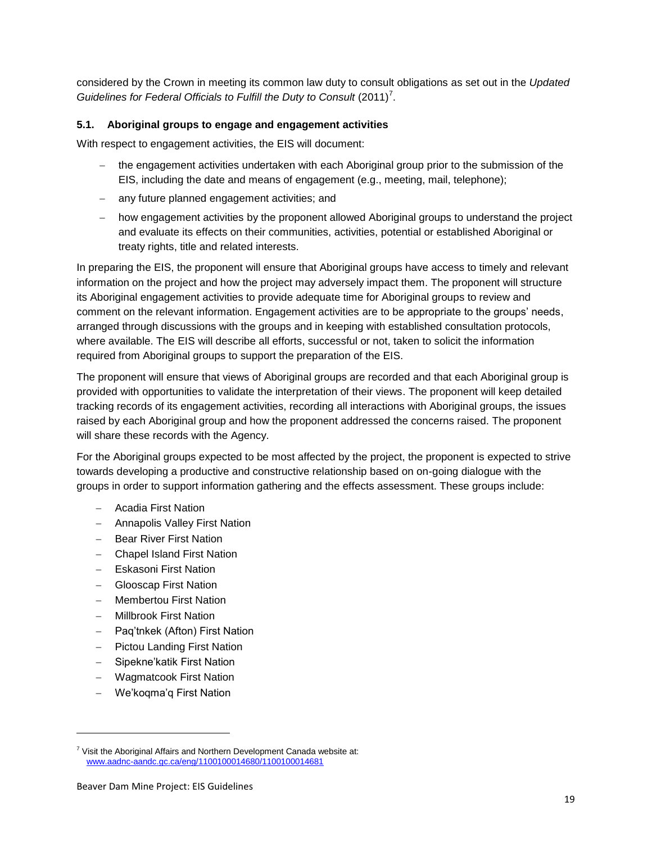considered by the Crown in meeting its common law duty to consult obligations as set out in the *Updated*  Guidelines for Federal Officials to Fulfill the Duty to Consult (2011)<sup>7</sup>.

#### <span id="page-24-0"></span>**5.1. Aboriginal groups to engage and engagement activities**

With respect to engagement activities, the EIS will document:

- the engagement activities undertaken with each Aboriginal group prior to the submission of the EIS, including the date and means of engagement (e.g., meeting, mail, telephone);
- any future planned engagement activities; and
- how engagement activities by the proponent allowed Aboriginal groups to understand the project and evaluate its effects on their communities, activities, potential or established Aboriginal or treaty rights, title and related interests.

In preparing the EIS, the proponent will ensure that Aboriginal groups have access to timely and relevant information on the project and how the project may adversely impact them. The proponent will structure its Aboriginal engagement activities to provide adequate time for Aboriginal groups to review and comment on the relevant information. Engagement activities are to be appropriate to the groups' needs, arranged through discussions with the groups and in keeping with established consultation protocols, where available. The EIS will describe all efforts, successful or not, taken to solicit the information required from Aboriginal groups to support the preparation of the EIS.

The proponent will ensure that views of Aboriginal groups are recorded and that each Aboriginal group is provided with opportunities to validate the interpretation of their views. The proponent will keep detailed tracking records of its engagement activities, recording all interactions with Aboriginal groups, the issues raised by each Aboriginal group and how the proponent addressed the concerns raised. The proponent will share these records with the Agency.

For the Aboriginal groups expected to be most affected by the project, the proponent is expected to strive towards developing a productive and constructive relationship based on on-going dialogue with the groups in order to support information gathering and the effects assessment. These groups include:

- Acadia First Nation
- Annapolis Valley First Nation
- Bear River First Nation
- Chapel Island First Nation
- Eskasoni First Nation
- Glooscap First Nation
- Membertou First Nation
- Millbrook First Nation
- Paq'tnkek (Afton) First Nation
- Pictou Landing First Nation
- Sipekne'katik First Nation
- Wagmatcook First Nation
- We'koqma'q First Nation

1

 $7$  Visit the Aboriginal Affairs and Northern Development Canada website at: [www.aadnc-aandc.gc.ca/eng/1100100014680/1100100014681](http://www.aadnc-aandc.gc.ca/eng/1100100014680/1100100014681)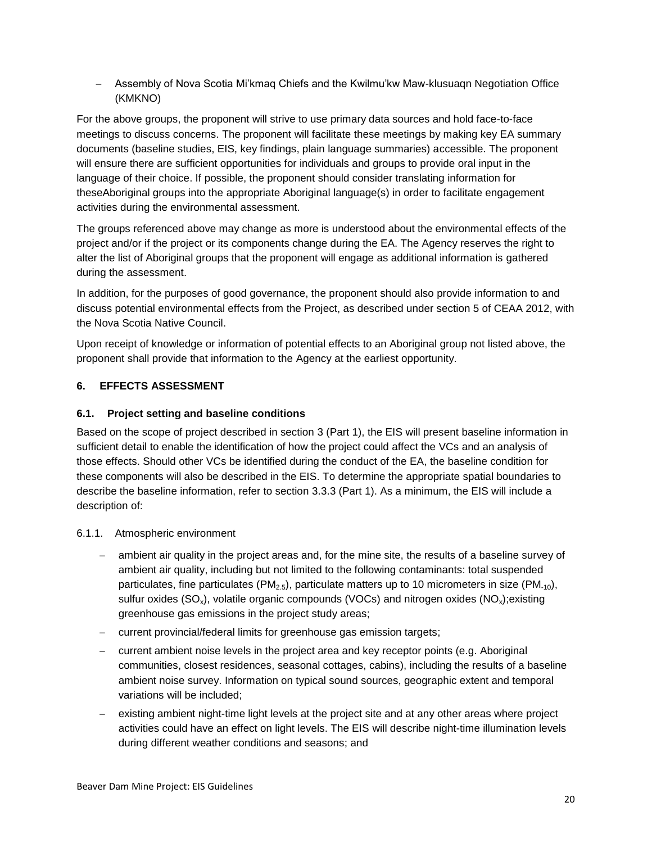Assembly of Nova Scotia Mi'kmaq Chiefs and the Kwilmu'kw Maw-klusuaqn Negotiation Office (KMKNO)

For the above groups, the proponent will strive to use primary data sources and hold face-to-face meetings to discuss concerns. The proponent will facilitate these meetings by making key EA summary documents (baseline studies, EIS, key findings, plain language summaries) accessible. The proponent will ensure there are sufficient opportunities for individuals and groups to provide oral input in the language of their choice. If possible, the proponent should consider translating information for theseAboriginal groups into the appropriate Aboriginal language(s) in order to facilitate engagement activities during the environmental assessment.

The groups referenced above may change as more is understood about the environmental effects of the project and/or if the project or its components change during the EA. The Agency reserves the right to alter the list of Aboriginal groups that the proponent will engage as additional information is gathered during the assessment.

In addition, for the purposes of good governance, the proponent should also provide information to and discuss potential environmental effects from the Project, as described under section 5 of CEAA 2012, with the Nova Scotia Native Council.

Upon receipt of knowledge or information of potential effects to an Aboriginal group not listed above, the proponent shall provide that information to the Agency at the earliest opportunity.

# <span id="page-25-0"></span>**6. EFFECTS ASSESSMENT**

#### <span id="page-25-1"></span>**6.1. Project setting and baseline conditions**

Based on the scope of project described in section 3 (Part 1), the EIS will present baseline information in sufficient detail to enable the identification of how the project could affect the VCs and an analysis of those effects. Should other VCs be identified during the conduct of the EA, the baseline condition for these components will also be described in the EIS. To determine the appropriate spatial boundaries to describe the baseline information, refer to section 3.3.3 (Part 1). As a minimum, the EIS will include a description of:

#### <span id="page-25-2"></span>6.1.1. Atmospheric environment

- ambient air quality in the project areas and, for the mine site, the results of a baseline survey of ambient air quality, including but not limited to the following contaminants: total suspended particulates, fine particulates ( $PM_{2.5}$ ), particulate matters up to 10 micrometers in size ( $PM_{-10}$ ), sulfur oxides ( $SO<sub>x</sub>$ ), volatile organic compounds (VOCs) and nitrogen oxides ( $NO<sub>x</sub>$ ); existing greenhouse gas emissions in the project study areas;
- current provincial/federal limits for greenhouse gas emission targets;
- current ambient noise levels in the project area and key receptor points (e.g. Aboriginal communities, closest residences, seasonal cottages, cabins), including the results of a baseline ambient noise survey. Information on typical sound sources, geographic extent and temporal variations will be included;
- existing ambient night-time light levels at the project site and at any other areas where project activities could have an effect on light levels. The EIS will describe night-time illumination levels during different weather conditions and seasons; and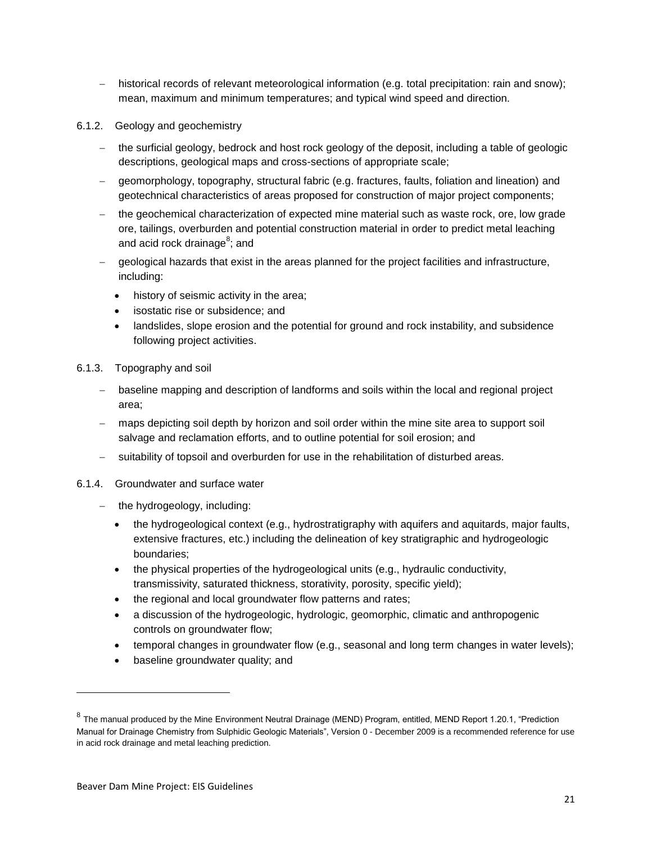- historical records of relevant meteorological information (e.g. total precipitation: rain and snow): mean, maximum and minimum temperatures; and typical wind speed and direction.
- <span id="page-26-0"></span>6.1.2. Geology and geochemistry
	- the surficial geology, bedrock and host rock geology of the deposit, including a table of geologic descriptions, geological maps and cross-sections of appropriate scale;
	- geomorphology, topography, structural fabric (e.g. fractures, faults, foliation and lineation) and geotechnical characteristics of areas proposed for construction of major project components;
	- the geochemical characterization of expected mine material such as waste rock, ore, low grade ore, tailings, overburden and potential construction material in order to predict metal leaching and acid rock drainage<sup>8</sup>; and
	- geological hazards that exist in the areas planned for the project facilities and infrastructure, including:
		- history of seismic activity in the area;
		- isostatic rise or subsidence; and
		- landslides, slope erosion and the potential for ground and rock instability, and subsidence following project activities.
- <span id="page-26-1"></span>6.1.3. Topography and soil
	- baseline mapping and description of landforms and soils within the local and regional project area;
	- maps depicting soil depth by horizon and soil order within the mine site area to support soil salvage and reclamation efforts, and to outline potential for soil erosion; and
	- suitability of topsoil and overburden for use in the rehabilitation of disturbed areas.
- <span id="page-26-2"></span>6.1.4. Groundwater and surface water
	- the hydrogeology, including:
		- the hydrogeological context (e.g., hydrostratigraphy with aquifers and aquitards, major faults, extensive fractures, etc.) including the delineation of key stratigraphic and hydrogeologic boundaries;
		- the physical properties of the hydrogeological units (e.g., hydraulic conductivity, transmissivity, saturated thickness, storativity, porosity, specific yield);
		- the regional and local groundwater flow patterns and rates;
		- a discussion of the hydrogeologic, hydrologic, geomorphic, climatic and anthropogenic controls on groundwater flow;
		- temporal changes in groundwater flow (e.g., seasonal and long term changes in water levels);
		- baseline groundwater quality; and

1

<sup>&</sup>lt;sup>8</sup> The manual produced by the Mine Environment Neutral Drainage (MEND) Program, entitled, MEND Report 1.20.1, "Prediction Manual for Drainage Chemistry from Sulphidic Geologic Materials", Version 0 - December 2009 is a recommended reference for use in acid rock drainage and metal leaching prediction.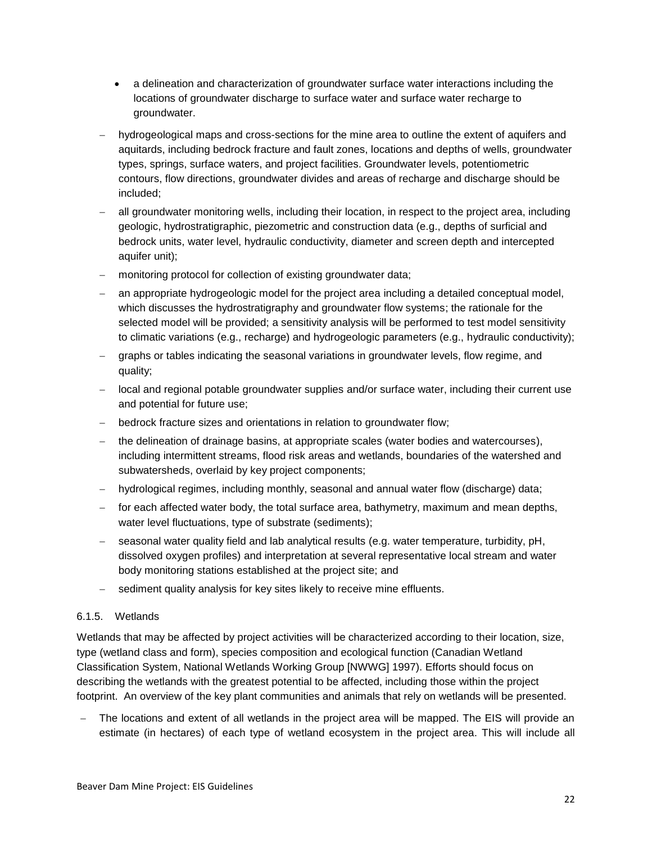- a delineation and characterization of groundwater surface water interactions including the locations of groundwater discharge to surface water and surface water recharge to groundwater.
- hydrogeological maps and cross-sections for the mine area to outline the extent of aquifers and aquitards, including bedrock fracture and fault zones, locations and depths of wells, groundwater types, springs, surface waters, and project facilities. Groundwater levels, potentiometric contours, flow directions, groundwater divides and areas of recharge and discharge should be included;
- all groundwater monitoring wells, including their location, in respect to the project area, including geologic, hydrostratigraphic, piezometric and construction data (e.g., depths of surficial and bedrock units, water level, hydraulic conductivity, diameter and screen depth and intercepted aquifer unit);
- monitoring protocol for collection of existing groundwater data;
- an appropriate hydrogeologic model for the project area including a detailed conceptual model, which discusses the hydrostratigraphy and groundwater flow systems; the rationale for the selected model will be provided; a sensitivity analysis will be performed to test model sensitivity to climatic variations (e.g., recharge) and hydrogeologic parameters (e.g., hydraulic conductivity);
- graphs or tables indicating the seasonal variations in groundwater levels, flow regime, and quality;
- local and regional potable groundwater supplies and/or surface water, including their current use and potential for future use;
- bedrock fracture sizes and orientations in relation to groundwater flow;
- the delineation of drainage basins, at appropriate scales (water bodies and watercourses), including intermittent streams, flood risk areas and wetlands, boundaries of the watershed and subwatersheds, overlaid by key project components;
- hydrological regimes, including monthly, seasonal and annual water flow (discharge) data;
- $-$  for each affected water body, the total surface area, bathymetry, maximum and mean depths, water level fluctuations, type of substrate (sediments);
- seasonal water quality field and lab analytical results (e.g. water temperature, turbidity, pH, dissolved oxygen profiles) and interpretation at several representative local stream and water body monitoring stations established at the project site; and
- sediment quality analysis for key sites likely to receive mine effluents.

#### <span id="page-27-0"></span>6.1.5. Wetlands

Wetlands that may be affected by project activities will be characterized according to their location, size, type (wetland class and form), species composition and ecological function (Canadian Wetland Classification System, National Wetlands Working Group [NWWG] 1997). Efforts should focus on describing the wetlands with the greatest potential to be affected, including those within the project footprint. An overview of the key plant communities and animals that rely on wetlands will be presented.

 The locations and extent of all wetlands in the project area will be mapped. The EIS will provide an estimate (in hectares) of each type of wetland ecosystem in the project area. This will include all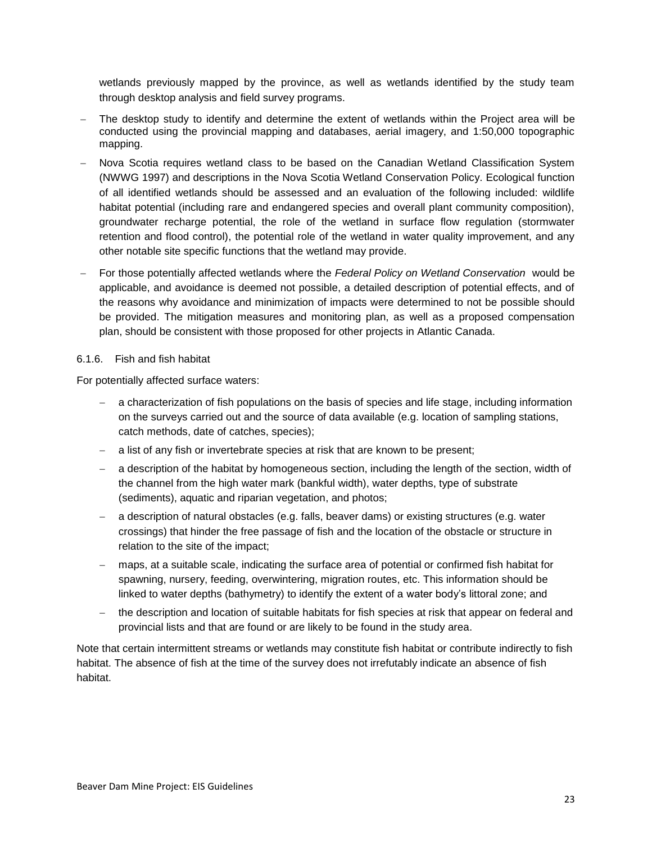wetlands previously mapped by the province, as well as wetlands identified by the study team through desktop analysis and field survey programs.

- The desktop study to identify and determine the extent of wetlands within the Project area will be conducted using the provincial mapping and databases, aerial imagery, and 1:50,000 topographic mapping.
- Nova Scotia requires wetland class to be based on the Canadian Wetland Classification System (NWWG 1997) and descriptions in the Nova Scotia Wetland Conservation Policy. Ecological function of all identified wetlands should be assessed and an evaluation of the following included: wildlife habitat potential (including rare and endangered species and overall plant community composition), groundwater recharge potential, the role of the wetland in surface flow regulation (stormwater retention and flood control), the potential role of the wetland in water quality improvement, and any other notable site specific functions that the wetland may provide.
- For those potentially affected wetlands where the *Federal Policy on Wetland Conservation* would be applicable, and avoidance is deemed not possible, a detailed description of potential effects, and of the reasons why avoidance and minimization of impacts were determined to not be possible should be provided. The mitigation measures and monitoring plan, as well as a proposed compensation plan, should be consistent with those proposed for other projects in Atlantic Canada.

#### <span id="page-28-0"></span>6.1.6. Fish and fish habitat

For potentially affected surface waters:

- a characterization of fish populations on the basis of species and life stage, including information on the surveys carried out and the source of data available (e.g. location of sampling stations, catch methods, date of catches, species);
- a list of any fish or invertebrate species at risk that are known to be present;
- a description of the habitat by homogeneous section, including the length of the section, width of the channel from the high water mark (bankful width), water depths, type of substrate (sediments), aquatic and riparian vegetation, and photos;
- a description of natural obstacles (e.g. falls, beaver dams) or existing structures (e.g. water crossings) that hinder the free passage of fish and the location of the obstacle or structure in relation to the site of the impact;
- maps, at a suitable scale, indicating the surface area of potential or confirmed fish habitat for spawning, nursery, feeding, overwintering, migration routes, etc. This information should be linked to water depths (bathymetry) to identify the extent of a water body's littoral zone; and
- the description and location of suitable habitats for fish species at risk that appear on federal and provincial lists and that are found or are likely to be found in the study area.

Note that certain intermittent streams or wetlands may constitute fish habitat or contribute indirectly to fish habitat. The absence of fish at the time of the survey does not irrefutably indicate an absence of fish habitat.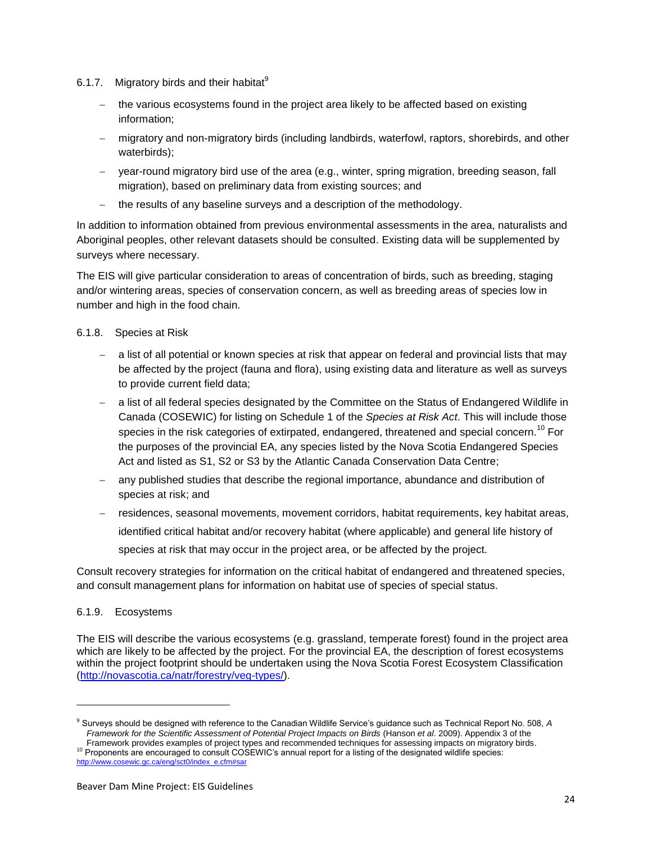- <span id="page-29-0"></span>6.1.7. Migratory birds and their habitat $^9$ 
	- the various ecosystems found in the project area likely to be affected based on existing information;
	- migratory and non-migratory birds (including landbirds, waterfowl, raptors, shorebirds, and other waterbirds);
	- year-round migratory bird use of the area (e.g., winter, spring migration, breeding season, fall migration), based on preliminary data from existing sources; and
	- $-$  the results of any baseline surveys and a description of the methodology.

In addition to information obtained from previous environmental assessments in the area, naturalists and Aboriginal peoples, other relevant datasets should be consulted. Existing data will be supplemented by surveys where necessary.

The EIS will give particular consideration to areas of concentration of birds, such as breeding, staging and/or wintering areas, species of conservation concern, as well as breeding areas of species low in number and high in the food chain.

#### <span id="page-29-1"></span>6.1.8. Species at Risk

- a list of all potential or known species at risk that appear on federal and provincial lists that may be affected by the project (fauna and flora), using existing data and literature as well as surveys to provide current field data;
- a list of all federal species designated by the Committee on the Status of Endangered Wildlife in Canada (COSEWIC) for listing on Schedule 1 of the *Species at Risk Act*. This will include those species in the risk categories of extirpated, endangered, threatened and special concern.<sup>10</sup> For the purposes of the provincial EA, any species listed by the Nova Scotia Endangered Species Act and listed as S1, S2 or S3 by the Atlantic Canada Conservation Data Centre;
- any published studies that describe the regional importance, abundance and distribution of species at risk; and
- residences, seasonal movements, movement corridors, habitat requirements, key habitat areas, identified critical habitat and/or recovery habitat (where applicable) and general life history of species at risk that may occur in the project area, or be affected by the project.

Consult recovery strategies for information on the critical habitat of endangered and threatened species, and consult management plans for information on habitat use of species of special status.

#### <span id="page-29-2"></span>6.1.9. Ecosystems

-

The EIS will describe the various ecosystems (e.g. grassland, temperate forest) found in the project area which are likely to be affected by the project. For the provincial EA, the description of forest ecosystems within the project footprint should be undertaken using the Nova Scotia Forest Ecosystem Classification [\(http://novascotia.ca/natr/forestry/veg-types/\)](http://novascotia.ca/natr/forestry/veg-types/).

<sup>9</sup> Surveys should be designed with reference to the Canadian Wildlife Service's guidance such as Technical Report No. 508, *A Framework for the Scientific Assessment of Potential Project Impacts on Birds* (Hanson *et al*. 2009). Appendix 3 of the

Framework provides examples of project types and recommended techniques for assessing impacts on migratory birds. <sup>10</sup> Proponents are encouraged to consult COSEWIC's annual report for a listing of the designated wildlife species: [http://www.cosewic.gc.ca/eng/sct0/index\\_e.cfm#sar](http://www.cosewic.gc.ca/eng/sct0/index_e.cfm#sar)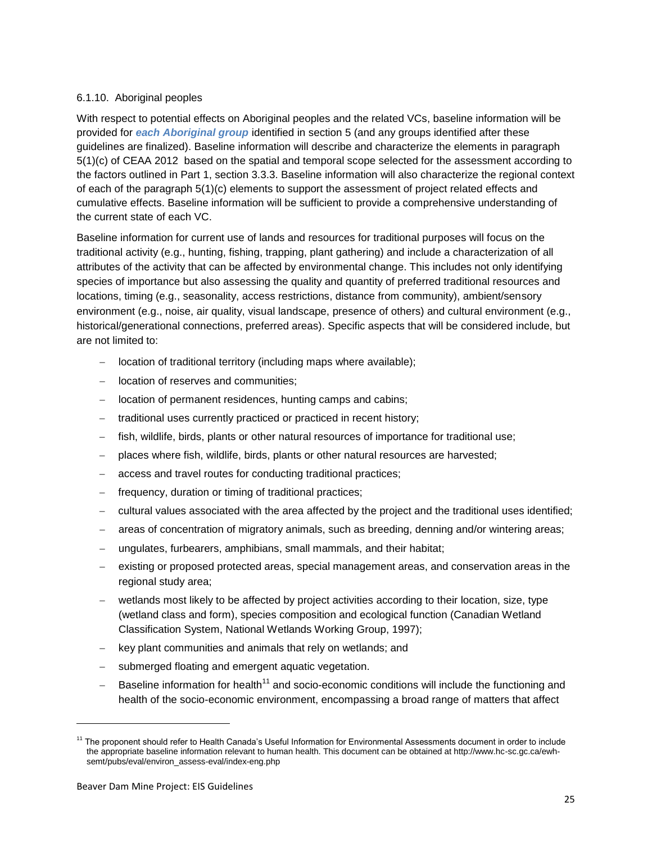#### <span id="page-30-0"></span>6.1.10. Aboriginal peoples

With respect to potential effects on Aboriginal peoples and the related VCs, baseline information will be provided for *each Aboriginal group* identified in section 5 (and any groups identified after these guidelines are finalized). Baseline information will describe and characterize the elements in paragraph 5(1)(c) of CEAA 2012 based on the spatial and temporal scope selected for the assessment according to the factors outlined in Part 1, section 3.3.3. Baseline information will also characterize the regional context of each of the paragraph 5(1)(c) elements to support the assessment of project related effects and cumulative effects. Baseline information will be sufficient to provide a comprehensive understanding of the current state of each VC.

Baseline information for current use of lands and resources for traditional purposes will focus on the traditional activity (e.g., hunting, fishing, trapping, plant gathering) and include a characterization of all attributes of the activity that can be affected by environmental change. This includes not only identifying species of importance but also assessing the quality and quantity of preferred traditional resources and locations, timing (e.g., seasonality, access restrictions, distance from community), ambient/sensory environment (e.g., noise, air quality, visual landscape, presence of others) and cultural environment (e.g., historical/generational connections, preferred areas). Specific aspects that will be considered include, but are not limited to:

- $\blacksquare$  location of traditional territory (including maps where available);
- location of reserves and communities:
- location of permanent residences, hunting camps and cabins;
- traditional uses currently practiced or practiced in recent history;
- fish, wildlife, birds, plants or other natural resources of importance for traditional use;
- places where fish, wildlife, birds, plants or other natural resources are harvested;
- access and travel routes for conducting traditional practices;
- frequency, duration or timing of traditional practices;
- cultural values associated with the area affected by the project and the traditional uses identified;
- areas of concentration of migratory animals, such as breeding, denning and/or wintering areas;
- ungulates, furbearers, amphibians, small mammals, and their habitat;
- existing or proposed protected areas, special management areas, and conservation areas in the regional study area;
- wetlands most likely to be affected by project activities according to their location, size, type (wetland class and form), species composition and ecological function (Canadian Wetland Classification System, National Wetlands Working Group, 1997);
- key plant communities and animals that rely on wetlands; and
- submerged floating and emergent aquatic vegetation.
- Baseline information for health<sup>11</sup> and socio-economic conditions will include the functioning and health of the socio-economic environment, encompassing a broad range of matters that affect

-

<sup>&</sup>lt;sup>11</sup> The proponent should refer to Health Canada's Useful Information for Environmental Assessments document in order to include the appropriate baseline information relevant to human health. This document can be obtained at http://www.hc-sc.gc.ca/ewhsemt/pubs/eval/environ\_assess-eval/index-eng.php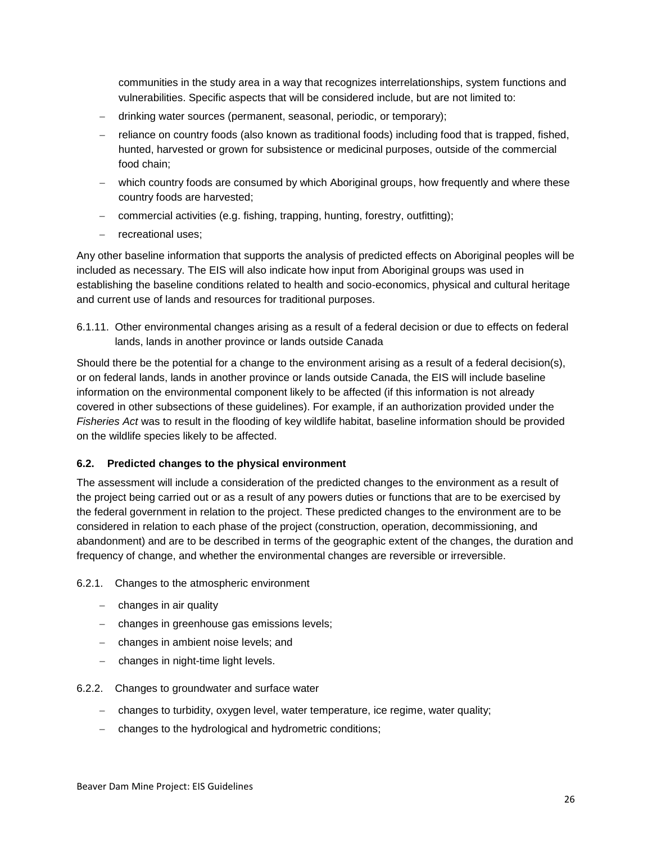communities in the study area in a way that recognizes interrelationships, system functions and vulnerabilities. Specific aspects that will be considered include, but are not limited to:

- drinking water sources (permanent, seasonal, periodic, or temporary);
- reliance on country foods (also known as traditional foods) including food that is trapped, fished, hunted, harvested or grown for subsistence or medicinal purposes, outside of the commercial food chain;
- which country foods are consumed by which Aboriginal groups, how frequently and where these country foods are harvested;
- commercial activities (e.g. fishing, trapping, hunting, forestry, outfitting);
- recreational uses;

Any other baseline information that supports the analysis of predicted effects on Aboriginal peoples will be included as necessary. The EIS will also indicate how input from Aboriginal groups was used in establishing the baseline conditions related to health and socio-economics, physical and cultural heritage and current use of lands and resources for traditional purposes.

<span id="page-31-0"></span>6.1.11. Other environmental changes arising as a result of a federal decision or due to effects on federal lands, lands in another province or lands outside Canada

Should there be the potential for a change to the environment arising as a result of a federal decision(s), or on federal lands, lands in another province or lands outside Canada, the EIS will include baseline information on the environmental component likely to be affected (if this information is not already covered in other subsections of these guidelines). For example, if an authorization provided under the *Fisheries Act* was to result in the flooding of key wildlife habitat, baseline information should be provided on the wildlife species likely to be affected.

#### <span id="page-31-1"></span>**6.2. Predicted changes to the physical environment**

The assessment will include a consideration of the predicted changes to the environment as a result of the project being carried out or as a result of any powers duties or functions that are to be exercised by the federal government in relation to the project. These predicted changes to the environment are to be considered in relation to each phase of the project (construction, operation, decommissioning, and abandonment) and are to be described in terms of the geographic extent of the changes, the duration and frequency of change, and whether the environmental changes are reversible or irreversible.

- <span id="page-31-2"></span>6.2.1. Changes to the atmospheric environment
	- $-$  changes in air quality
	- changes in greenhouse gas emissions levels;
	- changes in ambient noise levels; and
	- changes in night-time light levels.
- <span id="page-31-3"></span>6.2.2. Changes to groundwater and surface water
	- changes to turbidity, oxygen level, water temperature, ice regime, water quality;
	- changes to the hydrological and hydrometric conditions;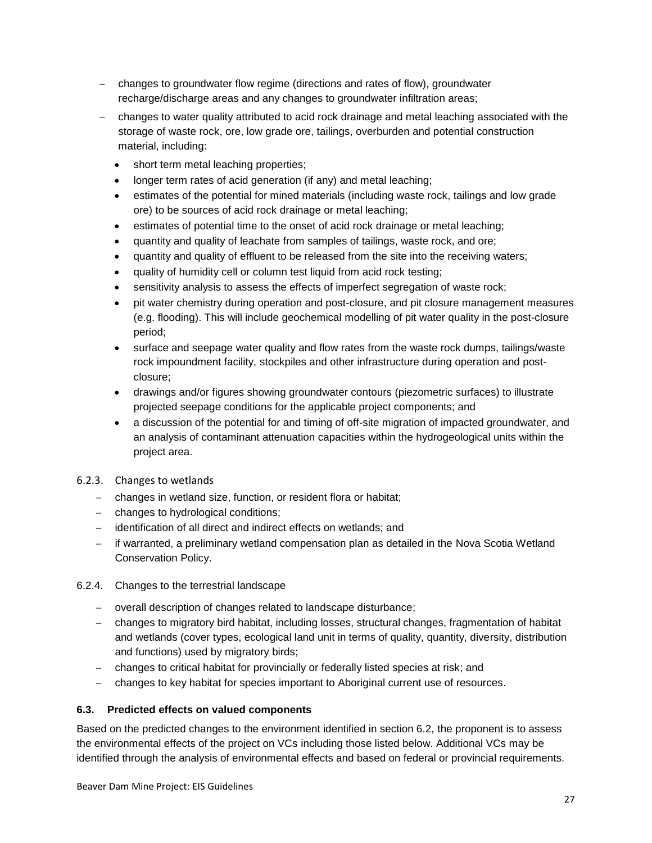- changes to groundwater flow regime (directions and rates of flow), groundwater recharge/discharge areas and any changes to groundwater infiltration areas;
- changes to water quality attributed to acid rock drainage and metal leaching associated with the storage of waste rock, ore, low grade ore, tailings, overburden and potential construction material, including:
	- short term metal leaching properties;
	- longer term rates of acid generation (if any) and metal leaching;
	- estimates of the potential for mined materials (including waste rock, tailings and low grade ore) to be sources of acid rock drainage or metal leaching;
	- estimates of potential time to the onset of acid rock drainage or metal leaching;
	- quantity and quality of leachate from samples of tailings, waste rock, and ore;
	- quantity and quality of effluent to be released from the site into the receiving waters;
	- quality of humidity cell or column test liquid from acid rock testing;
	- sensitivity analysis to assess the effects of imperfect segregation of waste rock;
	- pit water chemistry during operation and post-closure, and pit closure management measures (e.g. flooding). This will include geochemical modelling of pit water quality in the post-closure period;
	- surface and seepage water quality and flow rates from the waste rock dumps, tailings/waste rock impoundment facility, stockpiles and other infrastructure during operation and postclosure;
	- drawings and/or figures showing groundwater contours (piezometric surfaces) to illustrate projected seepage conditions for the applicable project components; and
	- a discussion of the potential for and timing of off-site migration of impacted groundwater, and an analysis of contaminant attenuation capacities within the hydrogeological units within the project area.
- <span id="page-32-0"></span>6.2.3. Changes to wetlands
	- changes in wetland size, function, or resident flora or habitat;
	- changes to hydrological conditions;
	- identification of all direct and indirect effects on wetlands; and
	- if warranted, a preliminary wetland compensation plan as detailed in the Nova Scotia Wetland Conservation Policy.
- <span id="page-32-1"></span>6.2.4. Changes to the terrestrial landscape
	- overall description of changes related to landscape disturbance;
	- changes to migratory bird habitat, including losses, structural changes, fragmentation of habitat and wetlands (cover types, ecological land unit in terms of quality, quantity, diversity, distribution and functions) used by migratory birds;
	- changes to critical habitat for provincially or federally listed species at risk; and
	- changes to key habitat for species important to Aboriginal current use of resources.

#### <span id="page-32-2"></span>**6.3. Predicted effects on valued components**

Based on the predicted changes to the environment identified in section 6.2, the proponent is to assess the environmental effects of the project on VCs including those listed below. Additional VCs may be identified through the analysis of environmental effects and based on federal or provincial requirements.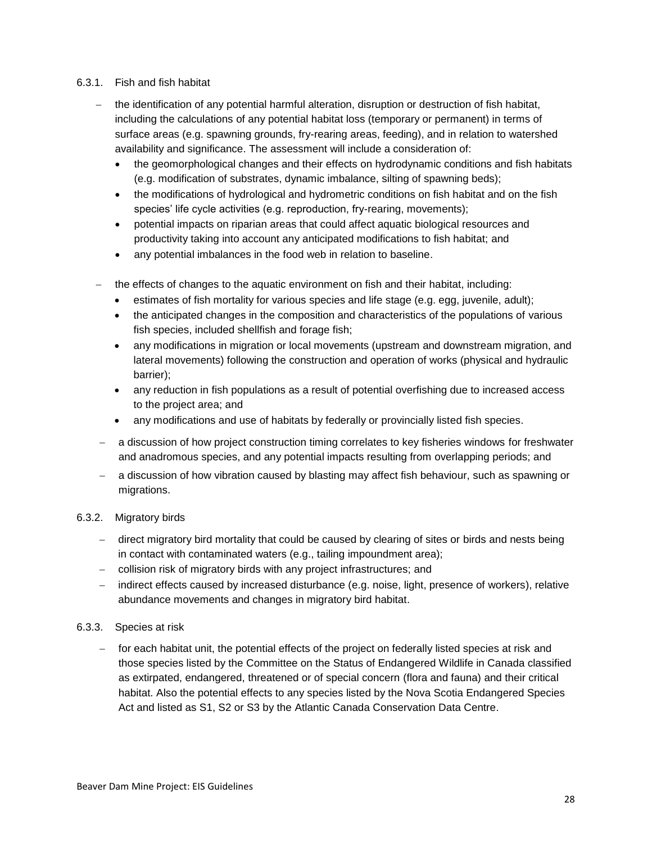#### <span id="page-33-0"></span>6.3.1. Fish and fish habitat

- the identification of any potential harmful alteration, disruption or destruction of fish habitat, including the calculations of any potential habitat loss (temporary or permanent) in terms of surface areas (e.g. spawning grounds, fry-rearing areas, feeding), and in relation to watershed availability and significance. The assessment will include a consideration of:
	- the geomorphological changes and their effects on hydrodynamic conditions and fish habitats (e.g. modification of substrates, dynamic imbalance, silting of spawning beds);
	- the modifications of hydrological and hydrometric conditions on fish habitat and on the fish species' life cycle activities (e.g. reproduction, fry-rearing, movements);
	- potential impacts on riparian areas that could affect aquatic biological resources and productivity taking into account any anticipated modifications to fish habitat; and
	- any potential imbalances in the food web in relation to baseline.
- the effects of changes to the aquatic environment on fish and their habitat, including:
	- estimates of fish mortality for various species and life stage (e.g. egg, juvenile, adult);
	- the anticipated changes in the composition and characteristics of the populations of various fish species, included shellfish and forage fish;
	- any modifications in migration or local movements (upstream and downstream migration, and lateral movements) following the construction and operation of works (physical and hydraulic barrier);
	- any reduction in fish populations as a result of potential overfishing due to increased access to the project area; and
	- any modifications and use of habitats by federally or provincially listed fish species.
- a discussion of how project construction timing correlates to key fisheries windows for freshwater and anadromous species, and any potential impacts resulting from overlapping periods; and
- a discussion of how vibration caused by blasting may affect fish behaviour, such as spawning or migrations.

#### <span id="page-33-1"></span>6.3.2. Migratory birds

- direct migratory bird mortality that could be caused by clearing of sites or birds and nests being in contact with contaminated waters (e.g., tailing impoundment area);
- collision risk of migratory birds with any project infrastructures; and
- indirect effects caused by increased disturbance (e.g. noise, light, presence of workers), relative abundance movements and changes in migratory bird habitat.

#### <span id="page-33-2"></span>6.3.3. Species at risk

- for each habitat unit, the potential effects of the project on federally listed species at risk and those species listed by the Committee on the Status of Endangered Wildlife in Canada classified as extirpated, endangered, threatened or of special concern (flora and fauna) and their critical habitat. Also the potential effects to any species listed by the Nova Scotia Endangered Species Act and listed as S1, S2 or S3 by the Atlantic Canada Conservation Data Centre.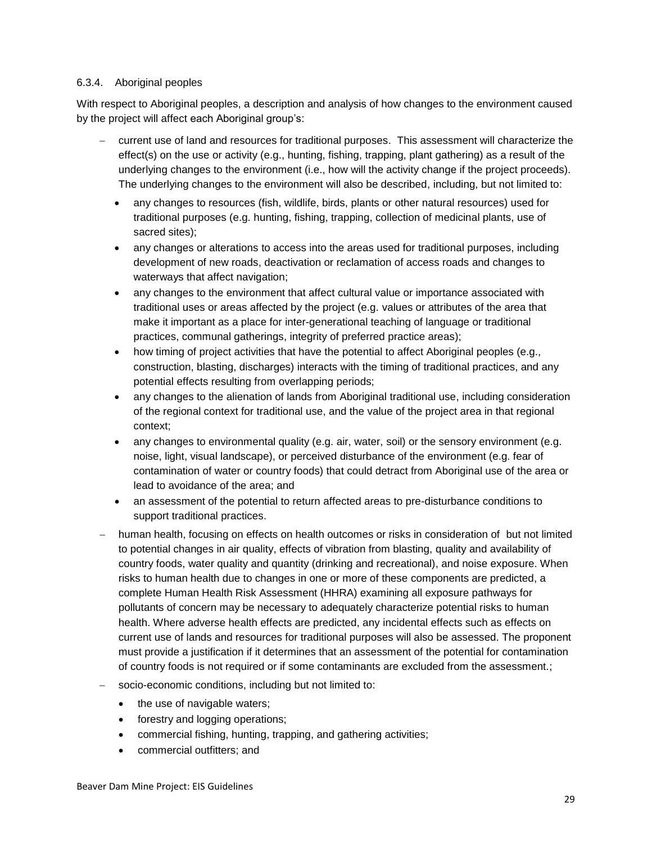#### <span id="page-34-0"></span>6.3.4. Aboriginal peoples

With respect to Aboriginal peoples, a description and analysis of how changes to the environment caused by the project will affect each Aboriginal group's:

- current use of land and resources for traditional purposes. This assessment will characterize the effect(s) on the use or activity (e.g., hunting, fishing, trapping, plant gathering) as a result of the underlying changes to the environment (i.e., how will the activity change if the project proceeds). The underlying changes to the environment will also be described, including, but not limited to:
	- any changes to resources (fish, wildlife, birds, plants or other natural resources) used for traditional purposes (e.g. hunting, fishing, trapping, collection of medicinal plants, use of sacred sites);
	- any changes or alterations to access into the areas used for traditional purposes, including development of new roads, deactivation or reclamation of access roads and changes to waterways that affect navigation;
	- any changes to the environment that affect cultural value or importance associated with traditional uses or areas affected by the project (e.g. values or attributes of the area that make it important as a place for inter-generational teaching of language or traditional practices, communal gatherings, integrity of preferred practice areas);
	- how timing of project activities that have the potential to affect Aboriginal peoples (e.g., construction, blasting, discharges) interacts with the timing of traditional practices, and any potential effects resulting from overlapping periods;
	- any changes to the alienation of lands from Aboriginal traditional use, including consideration of the regional context for traditional use, and the value of the project area in that regional context;
	- any changes to environmental quality (e.g. air, water, soil) or the sensory environment (e.g. noise, light, visual landscape), or perceived disturbance of the environment (e.g. fear of contamination of water or country foods) that could detract from Aboriginal use of the area or lead to avoidance of the area; and
	- an assessment of the potential to return affected areas to pre-disturbance conditions to support traditional practices.
- human health, focusing on effects on health outcomes or risks in consideration of but not limited to potential changes in air quality, effects of vibration from blasting, quality and availability of country foods, water quality and quantity (drinking and recreational), and noise exposure. When risks to human health due to changes in one or more of these components are predicted, a complete Human Health Risk Assessment (HHRA) examining all exposure pathways for pollutants of concern may be necessary to adequately characterize potential risks to human health. Where adverse health effects are predicted, any incidental effects such as effects on current use of lands and resources for traditional purposes will also be assessed. The proponent must provide a justification if it determines that an assessment of the potential for contamination of country foods is not required or if some contaminants are excluded from the assessment.;
- socio-economic conditions, including but not limited to:
	- the use of navigable waters;
	- forestry and logging operations;
	- commercial fishing, hunting, trapping, and gathering activities;
	- commercial outfitters; and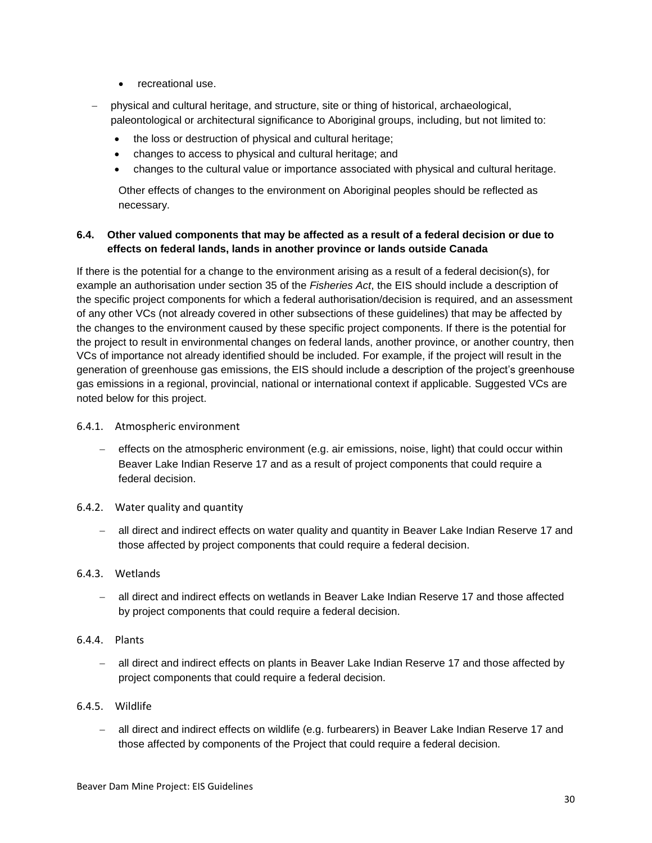- recreational use.
- physical and cultural heritage, and structure, site or thing of historical, archaeological, paleontological or architectural significance to Aboriginal groups, including, but not limited to:
	- the loss or destruction of physical and cultural heritage;
	- changes to access to physical and cultural heritage; and
	- changes to the cultural value or importance associated with physical and cultural heritage.

Other effects of changes to the environment on Aboriginal peoples should be reflected as necessary.

#### <span id="page-35-0"></span>**6.4. Other valued components that may be affected as a result of a federal decision or due to effects on federal lands, lands in another province or lands outside Canada**

If there is the potential for a change to the environment arising as a result of a federal decision(s), for example an authorisation under section 35 of the *Fisheries Act*, the EIS should include a description of the specific project components for which a federal authorisation/decision is required, and an assessment of any other VCs (not already covered in other subsections of these guidelines) that may be affected by the changes to the environment caused by these specific project components. If there is the potential for the project to result in environmental changes on federal lands, another province, or another country, then VCs of importance not already identified should be included. For example, if the project will result in the generation of greenhouse gas emissions, the EIS should include a description of the project's greenhouse gas emissions in a regional, provincial, national or international context if applicable. Suggested VCs are noted below for this project.

- <span id="page-35-1"></span>6.4.1. Atmospheric environment
	- effects on the atmospheric environment (e.g. air emissions, noise, light) that could occur within Beaver Lake Indian Reserve 17 and as a result of project components that could require a federal decision.
- <span id="page-35-2"></span>6.4.2. Water quality and quantity
	- all direct and indirect effects on water quality and quantity in Beaver Lake Indian Reserve 17 and those affected by project components that could require a federal decision.
- <span id="page-35-3"></span>6.4.3. Wetlands
	- all direct and indirect effects on wetlands in Beaver Lake Indian Reserve 17 and those affected by project components that could require a federal decision.
- <span id="page-35-4"></span>6.4.4. Plants
	- all direct and indirect effects on plants in Beaver Lake Indian Reserve 17 and those affected by project components that could require a federal decision.
- <span id="page-35-5"></span>6.4.5. Wildlife
	- all direct and indirect effects on wildlife (e.g. furbearers) in Beaver Lake Indian Reserve 17 and those affected by components of the Project that could require a federal decision.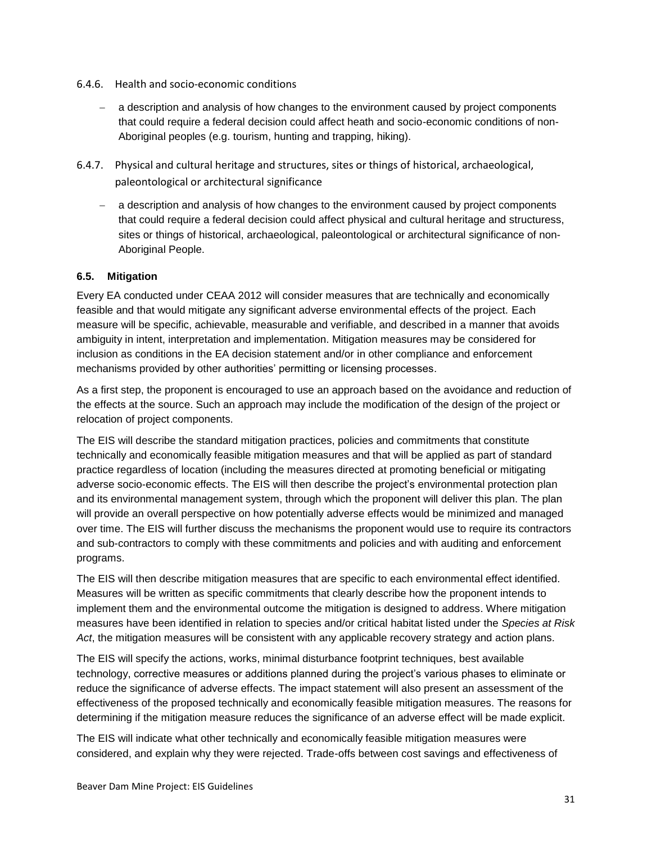- <span id="page-36-0"></span>6.4.6. Health and socio-economic conditions
	- a description and analysis of how changes to the environment caused by project components that could require a federal decision could affect heath and socio-economic conditions of non-Aboriginal peoples (e.g. tourism, hunting and trapping, hiking).
- <span id="page-36-1"></span>6.4.7. Physical and cultural heritage and structures, sites or things of historical, archaeological, paleontological or architectural significance
	- a description and analysis of how changes to the environment caused by project components that could require a federal decision could affect physical and cultural heritage and structuress, sites or things of historical, archaeological, paleontological or architectural significance of non-Aboriginal People.

#### <span id="page-36-2"></span>**6.5. Mitigation**

Every EA conducted under CEAA 2012 will consider measures that are technically and economically feasible and that would mitigate any significant adverse environmental effects of the project. Each measure will be specific, achievable, measurable and verifiable, and described in a manner that avoids ambiguity in intent, interpretation and implementation. Mitigation measures may be considered for inclusion as conditions in the EA decision statement and/or in other compliance and enforcement mechanisms provided by other authorities' permitting or licensing processes.

As a first step, the proponent is encouraged to use an approach based on the avoidance and reduction of the effects at the source. Such an approach may include the modification of the design of the project or relocation of project components.

The EIS will describe the standard mitigation practices, policies and commitments that constitute technically and economically feasible mitigation measures and that will be applied as part of standard practice regardless of location (including the measures directed at promoting beneficial or mitigating adverse socio-economic effects. The EIS will then describe the project's environmental protection plan and its environmental management system, through which the proponent will deliver this plan. The plan will provide an overall perspective on how potentially adverse effects would be minimized and managed over time. The EIS will further discuss the mechanisms the proponent would use to require its contractors and sub-contractors to comply with these commitments and policies and with auditing and enforcement programs.

The EIS will then describe mitigation measures that are specific to each environmental effect identified. Measures will be written as specific commitments that clearly describe how the proponent intends to implement them and the environmental outcome the mitigation is designed to address. Where mitigation measures have been identified in relation to species and/or critical habitat listed under the *Species at Risk Act*, the mitigation measures will be consistent with any applicable recovery strategy and action plans.

The EIS will specify the actions, works, minimal disturbance footprint techniques, best available technology, corrective measures or additions planned during the project's various phases to eliminate or reduce the significance of adverse effects. The impact statement will also present an assessment of the effectiveness of the proposed technically and economically feasible mitigation measures. The reasons for determining if the mitigation measure reduces the significance of an adverse effect will be made explicit.

The EIS will indicate what other technically and economically feasible mitigation measures were considered, and explain why they were rejected. Trade-offs between cost savings and effectiveness of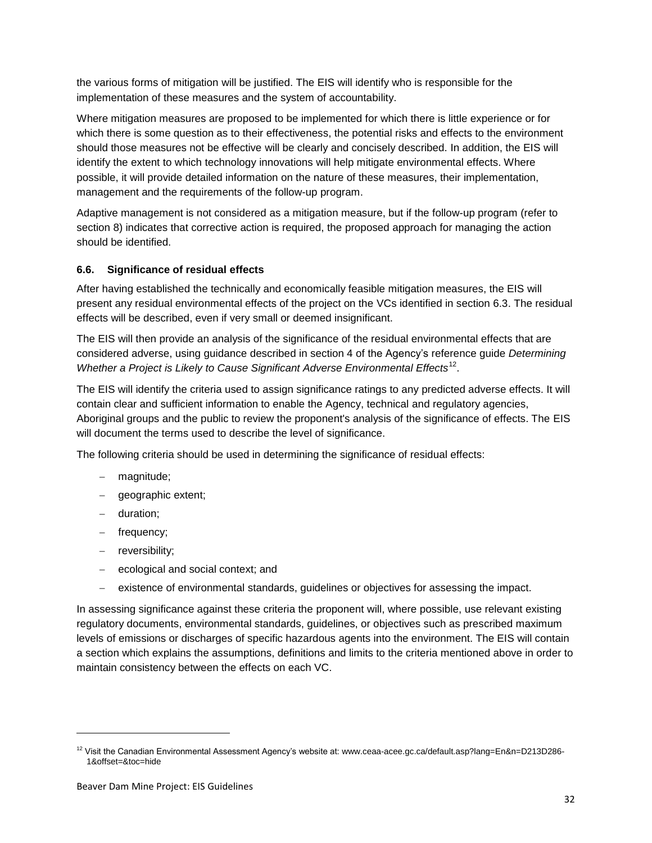the various forms of mitigation will be justified. The EIS will identify who is responsible for the implementation of these measures and the system of accountability.

Where mitigation measures are proposed to be implemented for which there is little experience or for which there is some question as to their effectiveness, the potential risks and effects to the environment should those measures not be effective will be clearly and concisely described. In addition, the EIS will identify the extent to which technology innovations will help mitigate environmental effects. Where possible, it will provide detailed information on the nature of these measures, their implementation, management and the requirements of the follow-up program.

Adaptive management is not considered as a mitigation measure, but if the follow-up program (refer to section 8) indicates that corrective action is required, the proposed approach for managing the action should be identified.

#### <span id="page-37-0"></span>**6.6. Significance of residual effects**

After having established the technically and economically feasible mitigation measures, the EIS will present any residual environmental effects of the project on the VCs identified in section 6.3. The residual effects will be described, even if very small or deemed insignificant.

The EIS will then provide an analysis of the significance of the residual environmental effects that are considered adverse, using guidance described in section 4 of the Agency's reference guide *Determining*  Whether a Project is Likely to Cause Significant Adverse Environmental Effects<sup>12</sup>.

The EIS will identify the criteria used to assign significance ratings to any predicted adverse effects. It will contain clear and sufficient information to enable the Agency, technical and regulatory agencies, Aboriginal groups and the public to review the proponent's analysis of the significance of effects. The EIS will document the terms used to describe the level of significance.

The following criteria should be used in determining the significance of residual effects:

- magnitude;
- geographic extent;
- duration;
- frequency;
- reversibility;

1

- $\overline{-}$  ecological and social context; and
- existence of environmental standards, guidelines or objectives for assessing the impact.

In assessing significance against these criteria the proponent will, where possible, use relevant existing regulatory documents, environmental standards, guidelines, or objectives such as prescribed maximum levels of emissions or discharges of specific hazardous agents into the environment. The EIS will contain a section which explains the assumptions, definitions and limits to the criteria mentioned above in order to maintain consistency between the effects on each VC.

<sup>&</sup>lt;sup>12</sup> Visit the Canadian Environmental Assessment Agency's website at: www.ceaa-acee.gc.ca/default.asp?lang=En&n=D213D286-1&offset=&toc=hide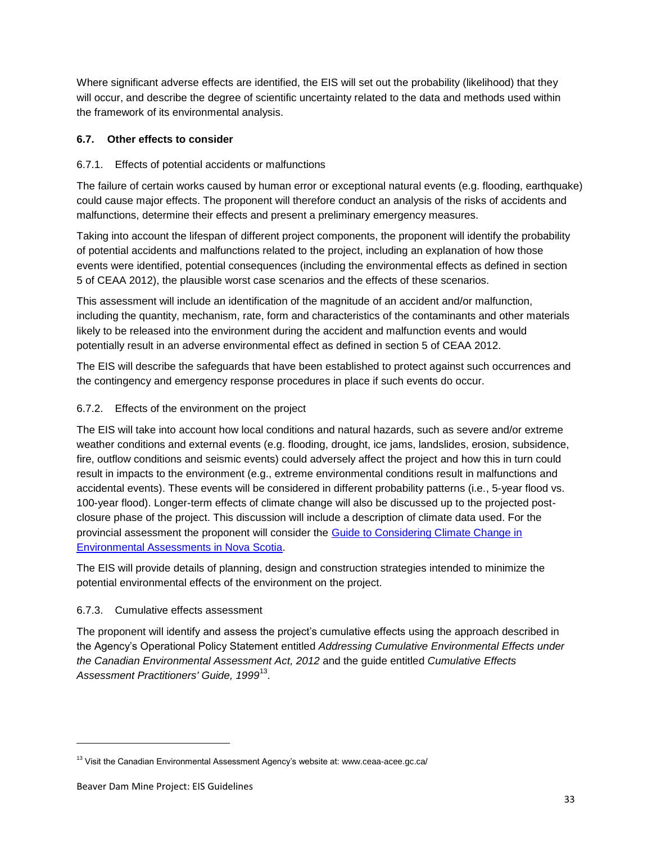Where significant adverse effects are identified, the EIS will set out the probability (likelihood) that they will occur, and describe the degree of scientific uncertainty related to the data and methods used within the framework of its environmental analysis.

# <span id="page-38-0"></span>**6.7. Other effects to consider**

# <span id="page-38-1"></span>6.7.1. Effects of potential accidents or malfunctions

The failure of certain works caused by human error or exceptional natural events (e.g. flooding, earthquake) could cause major effects. The proponent will therefore conduct an analysis of the risks of accidents and malfunctions, determine their effects and present a preliminary emergency measures.

Taking into account the lifespan of different project components, the proponent will identify the probability of potential accidents and malfunctions related to the project, including an explanation of how those events were identified, potential consequences (including the environmental effects as defined in section 5 of CEAA 2012), the plausible worst case scenarios and the effects of these scenarios.

This assessment will include an identification of the magnitude of an accident and/or malfunction, including the quantity, mechanism, rate, form and characteristics of the contaminants and other materials likely to be released into the environment during the accident and malfunction events and would potentially result in an adverse environmental effect as defined in section 5 of CEAA 2012.

The EIS will describe the safeguards that have been established to protect against such occurrences and the contingency and emergency response procedures in place if such events do occur.

#### <span id="page-38-2"></span>6.7.2. Effects of the environment on the project

The EIS will take into account how local conditions and natural hazards, such as severe and/or extreme weather conditions and external events (e.g. flooding, drought, ice jams, landslides, erosion, subsidence, fire, outflow conditions and seismic events) could adversely affect the project and how this in turn could result in impacts to the environment (e.g., extreme environmental conditions result in malfunctions and accidental events). These events will be considered in different probability patterns (i.e., 5-year flood vs. 100-year flood). Longer-term effects of climate change will also be discussed up to the projected postclosure phase of the project. This discussion will include a description of climate data used. For the provincial assessment the proponent will consider the [Guide to Considering Climate Change in](http://www.novascotia.ca/nse/ea/docs/EA.Climate.Change.Guide.pdf)  [Environmental Assessments in Nova Scotia.](http://www.novascotia.ca/nse/ea/docs/EA.Climate.Change.Guide.pdf)

The EIS will provide details of planning, design and construction strategies intended to minimize the potential environmental effects of the environment on the project.

# <span id="page-38-3"></span>6.7.3. Cumulative effects assessment

The proponent will identify and assess the project's cumulative effects using the approach described in the Agency's Operational Policy Statement entitled *Addressing Cumulative Environmental Effects under the Canadian Environmental Assessment Act, 2012* and the guide entitled *Cumulative Effects Assessment Practitioners' Guide, 1999*<sup>13</sup> .

-

<sup>&</sup>lt;sup>13</sup> Visit the Canadian Environmental Assessment Agency's website at: www.ceaa-acee.gc.ca/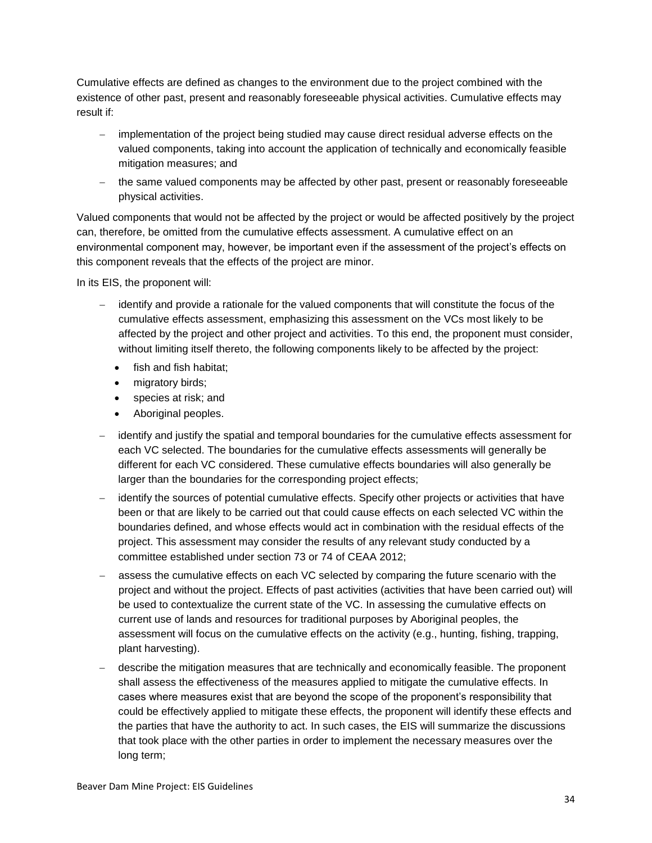Cumulative effects are defined as changes to the environment due to the project combined with the existence of other past, present and reasonably foreseeable physical activities. Cumulative effects may result if:

- implementation of the project being studied may cause direct residual adverse effects on the valued components, taking into account the application of technically and economically feasible mitigation measures; and
- the same valued components may be affected by other past, present or reasonably foreseeable physical activities.

Valued components that would not be affected by the project or would be affected positively by the project can, therefore, be omitted from the cumulative effects assessment. A cumulative effect on an environmental component may, however, be important even if the assessment of the project's effects on this component reveals that the effects of the project are minor.

In its EIS, the proponent will:

- identify and provide a rationale for the valued components that will constitute the focus of the cumulative effects assessment, emphasizing this assessment on the VCs most likely to be affected by the project and other project and activities. To this end, the proponent must consider, without limiting itself thereto, the following components likely to be affected by the project:
	- fish and fish habitat:
	- migratory birds;
	- species at risk; and
	- Aboriginal peoples.
- identify and justify the spatial and temporal boundaries for the cumulative effects assessment for each VC selected. The boundaries for the cumulative effects assessments will generally be different for each VC considered. These cumulative effects boundaries will also generally be larger than the boundaries for the corresponding project effects;
- identify the sources of potential cumulative effects. Specify other projects or activities that have been or that are likely to be carried out that could cause effects on each selected VC within the boundaries defined, and whose effects would act in combination with the residual effects of the project. This assessment may consider the results of any relevant study conducted by a committee established under section 73 or 74 of CEAA 2012;
- assess the cumulative effects on each VC selected by comparing the future scenario with the project and without the project. Effects of past activities (activities that have been carried out) will be used to contextualize the current state of the VC. In assessing the cumulative effects on current use of lands and resources for traditional purposes by Aboriginal peoples, the assessment will focus on the cumulative effects on the activity (e.g., hunting, fishing, trapping, plant harvesting).
- describe the mitigation measures that are technically and economically feasible. The proponent shall assess the effectiveness of the measures applied to mitigate the cumulative effects. In cases where measures exist that are beyond the scope of the proponent's responsibility that could be effectively applied to mitigate these effects, the proponent will identify these effects and the parties that have the authority to act. In such cases, the EIS will summarize the discussions that took place with the other parties in order to implement the necessary measures over the long term;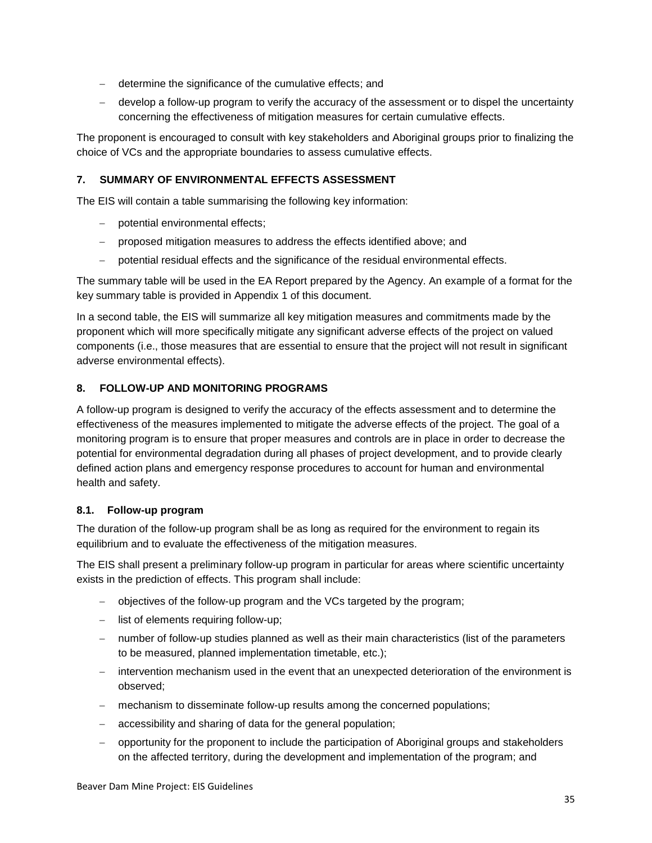- determine the significance of the cumulative effects; and
- develop a follow-up program to verify the accuracy of the assessment or to dispel the uncertainty concerning the effectiveness of mitigation measures for certain cumulative effects.

The proponent is encouraged to consult with key stakeholders and Aboriginal groups prior to finalizing the choice of VCs and the appropriate boundaries to assess cumulative effects.

#### <span id="page-40-0"></span>**7. SUMMARY OF ENVIRONMENTAL EFFECTS ASSESSMENT**

The EIS will contain a table summarising the following key information:

- potential environmental effects;
- proposed mitigation measures to address the effects identified above; and
- potential residual effects and the significance of the residual environmental effects.

The summary table will be used in the EA Report prepared by the Agency. An example of a format for the key summary table is provided in Appendix 1 of this document.

In a second table, the EIS will summarize all key mitigation measures and commitments made by the proponent which will more specifically mitigate any significant adverse effects of the project on valued components (i.e., those measures that are essential to ensure that the project will not result in significant adverse environmental effects).

#### <span id="page-40-1"></span>**8. FOLLOW-UP AND MONITORING PROGRAMS**

A follow-up program is designed to verify the accuracy of the effects assessment and to determine the effectiveness of the measures implemented to mitigate the adverse effects of the project. The goal of a monitoring program is to ensure that proper measures and controls are in place in order to decrease the potential for environmental degradation during all phases of project development, and to provide clearly defined action plans and emergency response procedures to account for human and environmental health and safety.

#### <span id="page-40-2"></span>**8.1. Follow-up program**

The duration of the follow-up program shall be as long as required for the environment to regain its equilibrium and to evaluate the effectiveness of the mitigation measures.

The EIS shall present a preliminary follow-up program in particular for areas where scientific uncertainty exists in the prediction of effects. This program shall include:

- objectives of the follow-up program and the VCs targeted by the program;
- $\overline{-}$  list of elements requiring follow-up;
- number of follow-up studies planned as well as their main characteristics (list of the parameters to be measured, planned implementation timetable, etc.);
- intervention mechanism used in the event that an unexpected deterioration of the environment is observed;
- mechanism to disseminate follow-up results among the concerned populations;
- accessibility and sharing of data for the general population;
- opportunity for the proponent to include the participation of Aboriginal groups and stakeholders on the affected territory, during the development and implementation of the program; and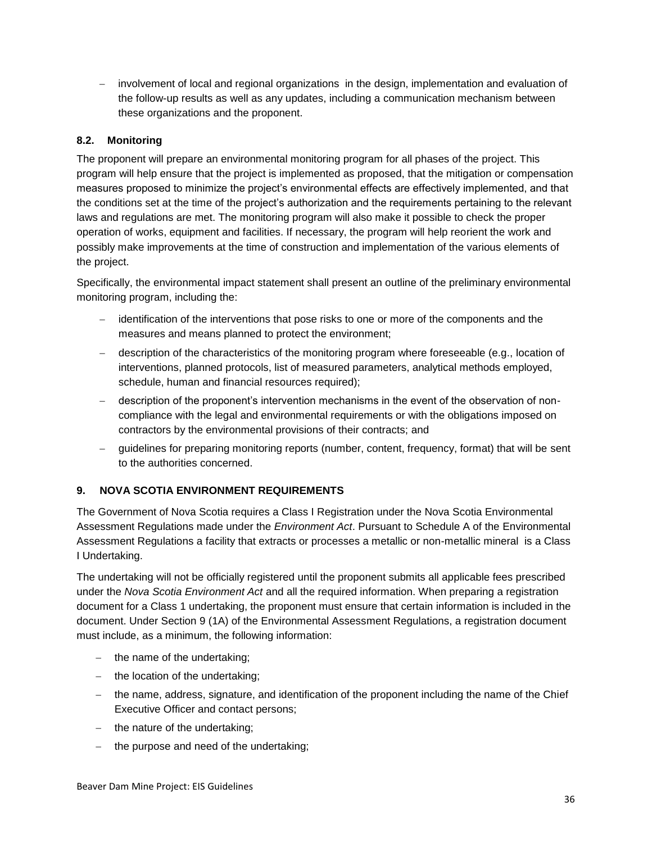involvement of local and regional organizations in the design, implementation and evaluation of the follow-up results as well as any updates, including a communication mechanism between these organizations and the proponent.

# <span id="page-41-0"></span>**8.2. Monitoring**

The proponent will prepare an environmental monitoring program for all phases of the project. This program will help ensure that the project is implemented as proposed, that the mitigation or compensation measures proposed to minimize the project's environmental effects are effectively implemented, and that the conditions set at the time of the project's authorization and the requirements pertaining to the relevant laws and regulations are met. The monitoring program will also make it possible to check the proper operation of works, equipment and facilities. If necessary, the program will help reorient the work and possibly make improvements at the time of construction and implementation of the various elements of the project.

Specifically, the environmental impact statement shall present an outline of the preliminary environmental monitoring program, including the:

- identification of the interventions that pose risks to one or more of the components and the measures and means planned to protect the environment;
- description of the characteristics of the monitoring program where foreseeable (e.g., location of interventions, planned protocols, list of measured parameters, analytical methods employed, schedule, human and financial resources required);
- description of the proponent's intervention mechanisms in the event of the observation of noncompliance with the legal and environmental requirements or with the obligations imposed on contractors by the environmental provisions of their contracts; and
- guidelines for preparing monitoring reports (number, content, frequency, format) that will be sent to the authorities concerned.

# <span id="page-41-1"></span>**9. NOVA SCOTIA ENVIRONMENT REQUIREMENTS**

The Government of Nova Scotia requires a Class I Registration under the Nova Scotia Environmental Assessment Regulations made under the *Environment Act*. Pursuant to Schedule A of the Environmental Assessment Regulations a facility that extracts or processes a metallic or non-metallic mineral is a Class I Undertaking.

The undertaking will not be officially registered until the proponent submits all applicable fees prescribed under the *Nova Scotia Environment Act* and all the required information. When preparing a registration document for a Class 1 undertaking, the proponent must ensure that certain information is included in the document. Under Section 9 (1A) of the Environmental Assessment Regulations, a registration document must include, as a minimum, the following information:

- $-$  the name of the undertaking;
- $-$  the location of the undertaking;
- the name, address, signature, and identification of the proponent including the name of the Chief Executive Officer and contact persons;
- $-$  the nature of the undertaking:
- the purpose and need of the undertaking;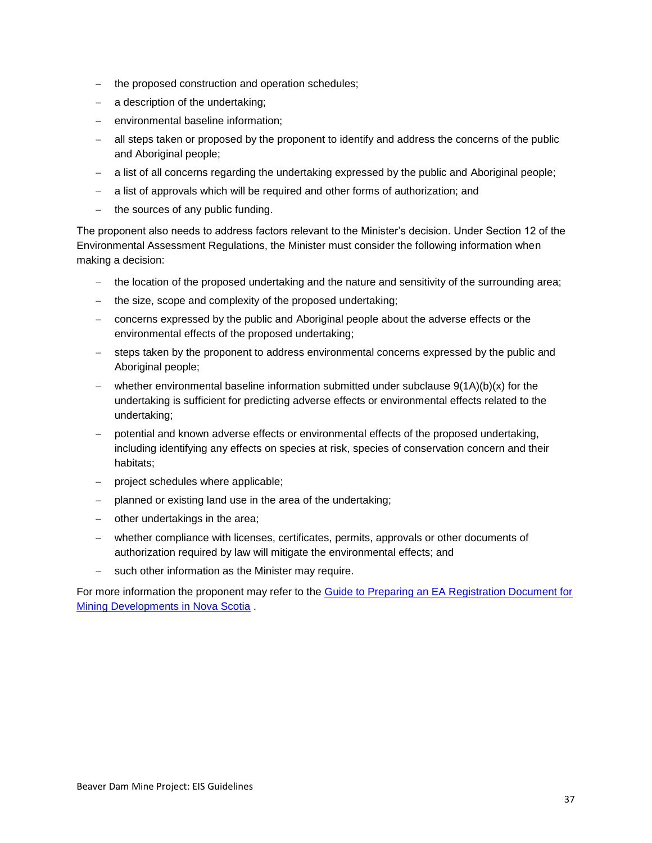- the proposed construction and operation schedules;
- a description of the undertaking;
- environmental baseline information:
- all steps taken or proposed by the proponent to identify and address the concerns of the public and Aboriginal people;
- a list of all concerns regarding the undertaking expressed by the public and Aboriginal people;
- a list of approvals which will be required and other forms of authorization; and
- $-$  the sources of any public funding.

The proponent also needs to address factors relevant to the Minister's decision. Under Section 12 of the Environmental Assessment Regulations, the Minister must consider the following information when making a decision:

- the location of the proposed undertaking and the nature and sensitivity of the surrounding area;
- the size, scope and complexity of the proposed undertaking;
- concerns expressed by the public and Aboriginal people about the adverse effects or the environmental effects of the proposed undertaking;
- steps taken by the proponent to address environmental concerns expressed by the public and Aboriginal people;
- $-$  whether environmental baseline information submitted under subclause  $9(1A)(b)(x)$  for the undertaking is sufficient for predicting adverse effects or environmental effects related to the undertaking;
- potential and known adverse effects or environmental effects of the proposed undertaking, including identifying any effects on species at risk, species of conservation concern and their habitats;
- project schedules where applicable;
- planned or existing land use in the area of the undertaking;
- $-$  other undertakings in the area;
- whether compliance with licenses, certificates, permits, approvals or other documents of authorization required by law will mitigate the environmental effects; and
- such other information as the Minister may require.

For more information the proponent may refer to the [Guide to Preparing an EA Registration Document for](http://www.novascotia.ca/nse/ea/docs/EA.Guide-RegistrationDocumentation-MiningDevelopments.pdf)  [Mining Developments in Nova Scotia](http://www.novascotia.ca/nse/ea/docs/EA.Guide-RegistrationDocumentation-MiningDevelopments.pdf) .